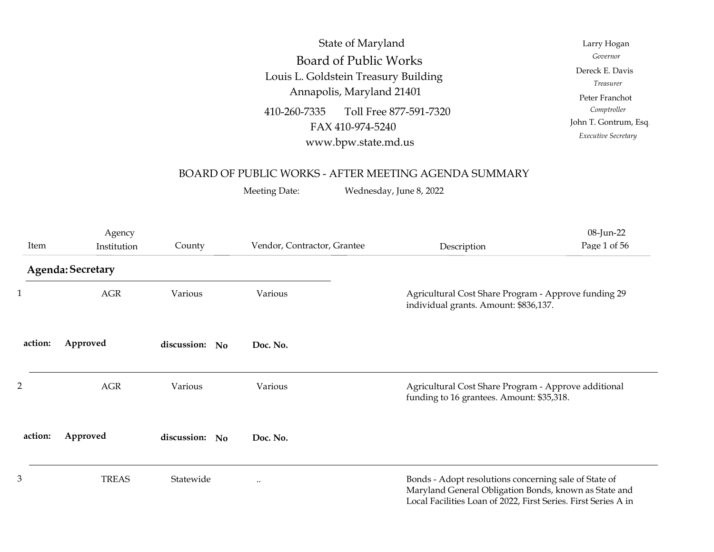| BOARD OF PUBLIC WORKS - AFTER MEETING AGENDA SUMMARY<br>Meeting Date:<br>Wednesday, June 8, 2022 |                       |
|--------------------------------------------------------------------------------------------------|-----------------------|
| Toll Free 877-591-7320                                                                           | Peter Franchot        |
| 410-260-7335                                                                                     | Comptroller           |
| FAX 410-974-5240                                                                                 | John T. Gontrum, Esq. |
| www.bpw.state.md.us                                                                              | Executive Secretary   |
| State of Maryland                                                                                | Larry Hogan           |
| Board of Public Works                                                                            | Governor              |
| Louis L. Goldstein Treasury Building                                                             | Dereck E. Davis       |
| Annapolis, Maryland 21401                                                                        | Treasurer             |

## BOARD OF PUBLIC WORKS - AFTER MEETING AGENDA SUMMARY

|                                        |                       |                    | Louis L. Goldstein Treasury Building<br>Annapolis, Maryland 21401<br>410-260-7335<br>FAX 410-974-5240<br>www.bpw.state.md.us<br>Meeting Date: | Toll Free 877-591-7320<br>BOARD OF PUBLIC WORKS - AFTER MEETING AGENDA SUMMARY<br>Wednesday, June 8, 2022                                                                        | Dereck E. Davis<br>Treasurer<br>Peter Franchot<br>Comptroller<br>John T. Gontrum, Esq.<br>Executive Secretary |
|----------------------------------------|-----------------------|--------------------|-----------------------------------------------------------------------------------------------------------------------------------------------|----------------------------------------------------------------------------------------------------------------------------------------------------------------------------------|---------------------------------------------------------------------------------------------------------------|
| Item                                   | Agency<br>Institution | County             | Vendor, Contractor, Grantee                                                                                                                   | Description                                                                                                                                                                      | 08-Jun-22<br>Page 1 of 56                                                                                     |
| <b>Agenda: Secretary</b><br>$\rm{AGR}$ |                       | Various<br>Various |                                                                                                                                               | Agricultural Cost Share Program - Approve funding 29<br>individual grants. Amount: \$836,137.                                                                                    |                                                                                                               |
| action:                                | Approved              | discussion: No     | Doc. No.                                                                                                                                      |                                                                                                                                                                                  |                                                                                                               |
| 2                                      | $\rm{AGR}$            | Various            | Various                                                                                                                                       | Agricultural Cost Share Program - Approve additional<br>funding to 16 grantees. Amount: \$35,318.                                                                                |                                                                                                               |
| action:                                | Approved              | discussion: No     | Doc. No.                                                                                                                                      |                                                                                                                                                                                  |                                                                                                               |
| 3                                      | <b>TREAS</b>          | Statewide          | $\ddotsc$                                                                                                                                     | Bonds - Adopt resolutions concerning sale of State of<br>Maryland General Obligation Bonds, known as State and<br>Local Facilities Loan of 2022, First Series. First Series A in |                                                                                                               |
|                                        |                       |                    |                                                                                                                                               |                                                                                                                                                                                  |                                                                                                               |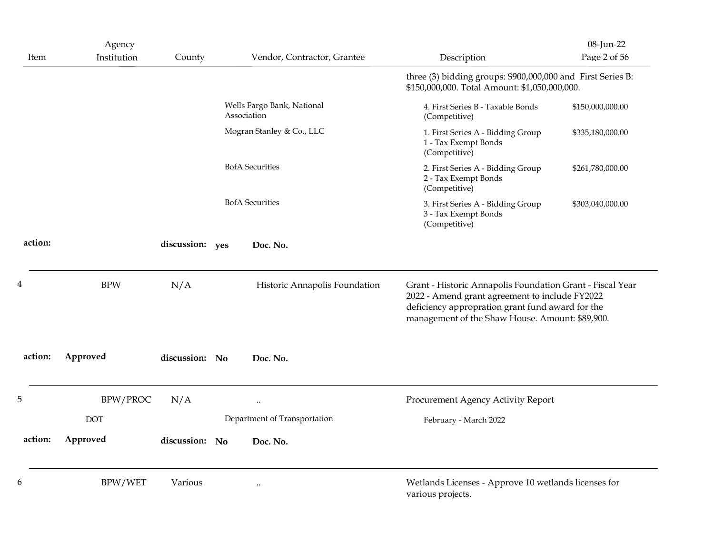| Item    | Agency<br>Institution | County          | Vendor, Contractor, Grantee               | Description                                                                                                                                                                                                        | 08-Jun-22<br>Page 2 of 56 |
|---------|-----------------------|-----------------|-------------------------------------------|--------------------------------------------------------------------------------------------------------------------------------------------------------------------------------------------------------------------|---------------------------|
|         |                       |                 |                                           | three (3) bidding groups: \$900,000,000 and First Series B:<br>\$150,000,000. Total Amount: \$1,050,000,000.                                                                                                       |                           |
|         |                       |                 | Wells Fargo Bank, National<br>Association | 4. First Series B - Taxable Bonds<br>(Competitive)                                                                                                                                                                 | \$150,000,000.00          |
|         |                       |                 | Mogran Stanley & Co., LLC                 | 1. First Series A - Bidding Group<br>1 - Tax Exempt Bonds<br>(Competitive)                                                                                                                                         | \$335,180,000.00          |
|         |                       |                 | <b>BofA</b> Securities                    | 2. First Series A - Bidding Group<br>2 - Tax Exempt Bonds<br>(Competitive)                                                                                                                                         | \$261,780,000.00          |
|         |                       |                 | <b>BofA</b> Securities                    | 3. First Series A - Bidding Group<br>3 - Tax Exempt Bonds<br>(Competitive)                                                                                                                                         | \$303,040,000.00          |
| action: |                       | discussion: yes | Doc. No.                                  |                                                                                                                                                                                                                    |                           |
|         | <b>BPW</b>            | N/A             | Historic Annapolis Foundation             | Grant - Historic Annapolis Foundation Grant - Fiscal Year<br>2022 - Amend grant agreement to include FY2022<br>deficiency appropration grant fund award for the<br>management of the Shaw House. Amount: \$89,900. |                           |
| action: | Approved              | discussion: No  | Doc. No.                                  |                                                                                                                                                                                                                    |                           |
| Ь       | BPW/PROC              | N/A             | $\ddotsc$                                 | Procurement Agency Activity Report                                                                                                                                                                                 |                           |
|         | <b>DOT</b>            |                 | Department of Transportation              | February - March 2022                                                                                                                                                                                              |                           |
| action: | Approved              | discussion: No  | Doc. No.                                  |                                                                                                                                                                                                                    |                           |
|         | BPW/WET               | Various         |                                           | Wetlands Licenses - Approve 10 wetlands licenses for<br>various projects.                                                                                                                                          |                           |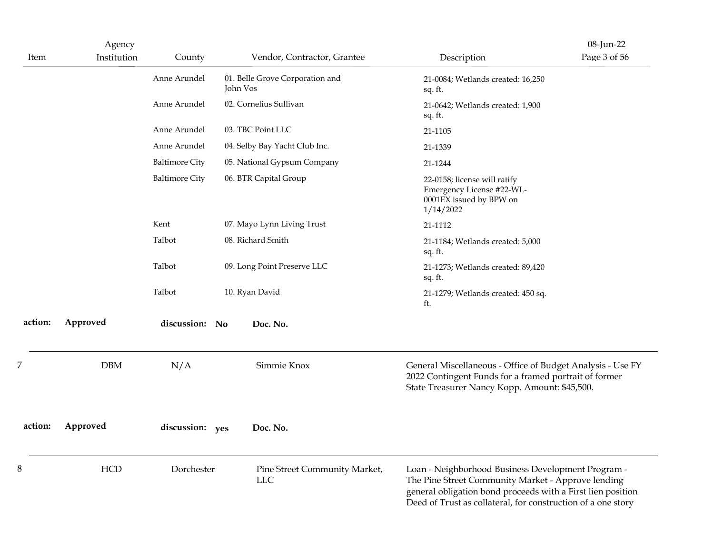|         | Agency         |                       |                                             |                                                                                                                                                                                                                                         | 08-Jun-22    |
|---------|----------------|-----------------------|---------------------------------------------|-----------------------------------------------------------------------------------------------------------------------------------------------------------------------------------------------------------------------------------------|--------------|
| Item    | Institution    | County                | Vendor, Contractor, Grantee                 | Description                                                                                                                                                                                                                             | Page 3 of 56 |
|         |                | Anne Arundel          | 01. Belle Grove Corporation and<br>John Vos | 21-0084; Wetlands created: 16,250<br>sq. ft.                                                                                                                                                                                            |              |
|         |                | Anne Arundel          | 02. Cornelius Sullivan                      | 21-0642; Wetlands created: 1,900<br>sq. ft.                                                                                                                                                                                             |              |
|         |                | Anne Arundel          | 03. TBC Point LLC                           | 21-1105                                                                                                                                                                                                                                 |              |
|         |                | Anne Arundel          | 04. Selby Bay Yacht Club Inc.               | 21-1339                                                                                                                                                                                                                                 |              |
|         |                | <b>Baltimore City</b> | 05. National Gypsum Company                 | 21-1244                                                                                                                                                                                                                                 |              |
|         |                | <b>Baltimore City</b> | 06. BTR Capital Group                       | 22-0158; license will ratify<br>Emergency License #22-WL-<br>0001EX issued by BPW on<br>1/14/2022                                                                                                                                       |              |
|         |                | Kent                  | 07. Mayo Lynn Living Trust                  | 21-1112                                                                                                                                                                                                                                 |              |
|         |                | Talbot                | 08. Richard Smith                           | 21-1184; Wetlands created: 5,000<br>sq. ft.                                                                                                                                                                                             |              |
|         |                | Talbot                | 09. Long Point Preserve LLC                 | 21-1273; Wetlands created: 89,420<br>sq. ft.                                                                                                                                                                                            |              |
|         |                | Talbot                | 10. Ryan David                              | 21-1279; Wetlands created: 450 sq.<br>ft.                                                                                                                                                                                               |              |
| action: | Approved       | discussion: No        | Doc. No.                                    |                                                                                                                                                                                                                                         |              |
|         | $\mathbf{DBM}$ | N/A                   | Simmie Knox                                 | General Miscellaneous - Office of Budget Analysis - Use FY<br>2022 Contingent Funds for a framed portrait of former<br>State Treasurer Nancy Kopp. Amount: \$45,500.                                                                    |              |
| action: | Approved       | discussion: yes       | Doc. No.                                    |                                                                                                                                                                                                                                         |              |
|         | HCD            | Dorchester            | Pine Street Community Market,<br><b>LLC</b> | Loan - Neighborhood Business Development Program -<br>The Pine Street Community Market - Approve lending<br>general obligation bond proceeds with a First lien position<br>Deed of Trust as collateral, for construction of a one story |              |
|         |                |                       |                                             |                                                                                                                                                                                                                                         |              |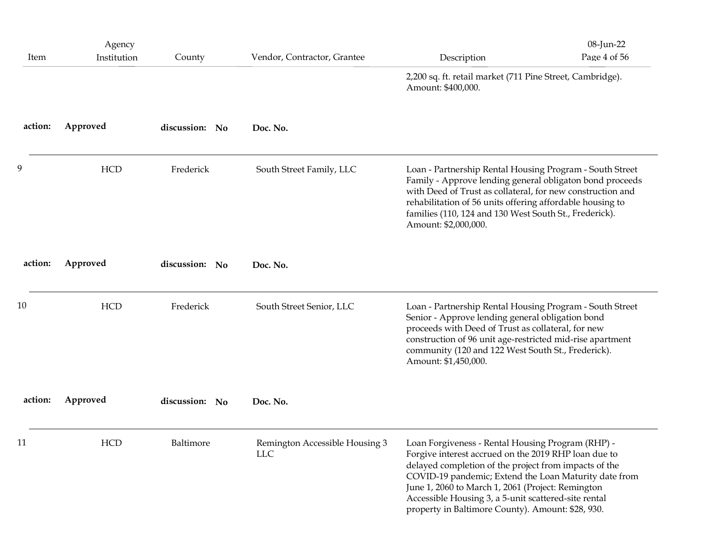|         |                       |                |                                              |                                                                                                                                                                                                                                                                                                                                                                                               | 08-Jun-22    |
|---------|-----------------------|----------------|----------------------------------------------|-----------------------------------------------------------------------------------------------------------------------------------------------------------------------------------------------------------------------------------------------------------------------------------------------------------------------------------------------------------------------------------------------|--------------|
| Item    | Agency<br>Institution | County         | Vendor, Contractor, Grantee                  | Description                                                                                                                                                                                                                                                                                                                                                                                   | Page 4 of 56 |
|         |                       |                |                                              | 2,200 sq. ft. retail market (711 Pine Street, Cambridge).<br>Amount: \$400,000.                                                                                                                                                                                                                                                                                                               |              |
| action: | Approved              | discussion: No | Doc. No.                                     |                                                                                                                                                                                                                                                                                                                                                                                               |              |
| Q       | ${\rm HCD}$           | Frederick      | South Street Family, LLC                     | Loan - Partnership Rental Housing Program - South Street<br>Family - Approve lending general obligaton bond proceeds<br>with Deed of Trust as collateral, for new construction and<br>rehabilitation of 56 units offering affordable housing to<br>families (110, 124 and 130 West South St., Frederick).<br>Amount: \$2,000,000.                                                             |              |
| action: | Approved              | discussion: No | Doc. No.                                     |                                                                                                                                                                                                                                                                                                                                                                                               |              |
| 10      | ${\rm HCD}$           | Frederick      | South Street Senior, LLC                     | Loan - Partnership Rental Housing Program - South Street<br>Senior - Approve lending general obligation bond<br>proceeds with Deed of Trust as collateral, for new<br>construction of 96 unit age-restricted mid-rise apartment<br>community (120 and 122 West South St., Frederick).<br>Amount: \$1,450,000.                                                                                 |              |
| action: | Approved              | discussion: No | Doc. No.                                     |                                                                                                                                                                                                                                                                                                                                                                                               |              |
| 11      | <b>HCD</b>            | Baltimore      | Remington Accessible Housing 3<br><b>LLC</b> | Loan Forgiveness - Rental Housing Program (RHP) -<br>Forgive interest accrued on the 2019 RHP loan due to<br>delayed completion of the project from impacts of the<br>COVID-19 pandemic; Extend the Loan Maturity date from<br>June 1, 2060 to March 1, 2061 (Project: Remington<br>Accessible Housing 3, a 5-unit scattered-site rental<br>property in Baltimore County). Amount: \$28, 930. |              |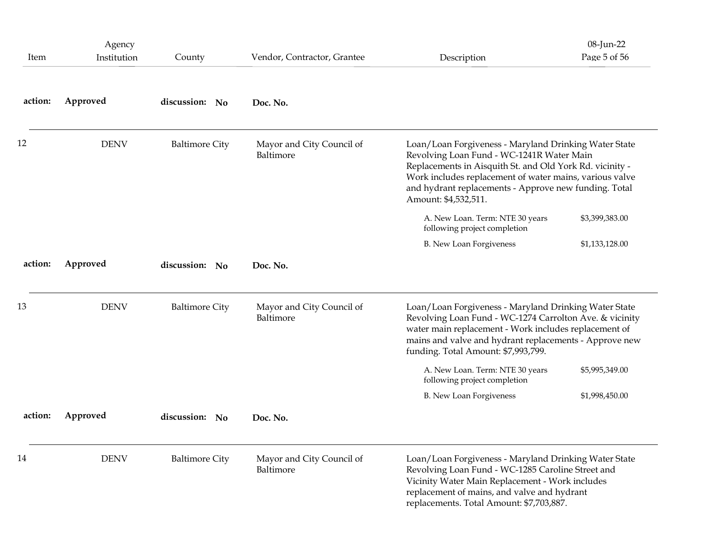| Item    | Agency<br>Institution | County                | Vendor, Contractor, Grantee            | Description                                                                                                                                                                                                                                                                                                   | 08-Jun-22<br>Page 5 of 56 |
|---------|-----------------------|-----------------------|----------------------------------------|---------------------------------------------------------------------------------------------------------------------------------------------------------------------------------------------------------------------------------------------------------------------------------------------------------------|---------------------------|
| action: | Approved              | discussion: No        | Doc. No.                               |                                                                                                                                                                                                                                                                                                               |                           |
| 12      | <b>DENV</b>           | <b>Baltimore City</b> | Mayor and City Council of<br>Baltimore | Loan/Loan Forgiveness - Maryland Drinking Water State<br>Revolving Loan Fund - WC-1241R Water Main<br>Replacements in Aisquith St. and Old York Rd. vicinity -<br>Work includes replacement of water mains, various valve<br>and hydrant replacements - Approve new funding. Total<br>Amount: \$4,532,511.    |                           |
|         |                       |                       |                                        | A. New Loan. Term: NTE 30 years<br>following project completion                                                                                                                                                                                                                                               | \$3,399,383.00            |
|         |                       |                       |                                        | B. New Loan Forgiveness                                                                                                                                                                                                                                                                                       | \$1,133,128.00            |
| action: | Approved              | discussion: No        | Doc. No.                               |                                                                                                                                                                                                                                                                                                               |                           |
| 13      | <b>DENV</b>           | <b>Baltimore City</b> | Mayor and City Council of<br>Baltimore | Loan/Loan Forgiveness - Maryland Drinking Water State<br>Revolving Loan Fund - WC-1274 Carrolton Ave. & vicinity<br>water main replacement - Work includes replacement of<br>mains and valve and hydrant replacements - Approve new<br>funding. Total Amount: \$7,993,799.<br>A. New Loan. Term: NTE 30 years | \$5,995,349.00            |
|         |                       |                       |                                        | following project completion                                                                                                                                                                                                                                                                                  |                           |
| action: | Approved              | discussion: No        | Doc. No.                               | B. New Loan Forgiveness                                                                                                                                                                                                                                                                                       | \$1,998,450.00            |
| 14      | <b>DENV</b>           | <b>Baltimore City</b> | Mayor and City Council of<br>Baltimore | Loan/Loan Forgiveness - Maryland Drinking Water State<br>Revolving Loan Fund - WC-1285 Caroline Street and<br>Vicinity Water Main Replacement - Work includes<br>replacement of mains, and valve and hydrant<br>replacements. Total Amount: \$7,703,887.                                                      |                           |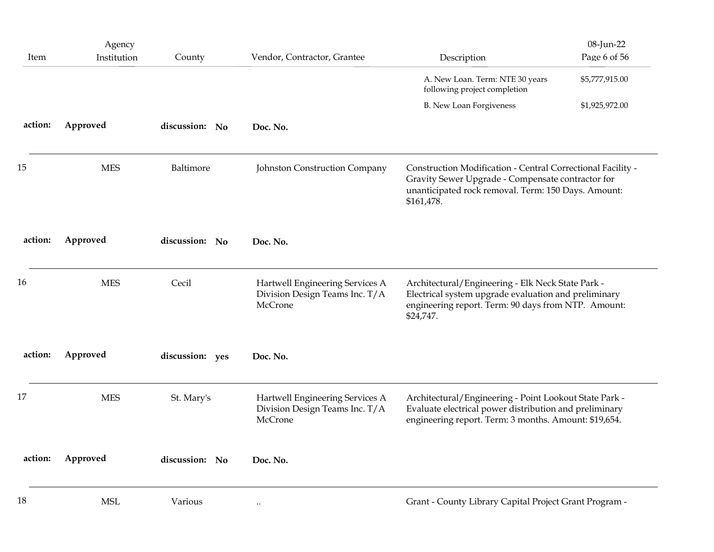| Item    | Agency<br>Institution | County          | Vendor, Contractor, Grantee                                                  | Description                                                                                                                                                                           | 08-Jun-22<br>Page 6 of 56 |
|---------|-----------------------|-----------------|------------------------------------------------------------------------------|---------------------------------------------------------------------------------------------------------------------------------------------------------------------------------------|---------------------------|
|         |                       |                 |                                                                              | A. New Loan. Term: NTE 30 years<br>following project completion                                                                                                                       | \$5,777,915.00            |
| action: | Approved              | discussion: No  | Doc. No.                                                                     | <b>B.</b> New Loan Forgiveness                                                                                                                                                        | \$1,925,972.00            |
| 15      | <b>MES</b>            | Baltimore       | Johnston Construction Company                                                | Construction Modification - Central Correctional Facility -<br>Gravity Sewer Upgrade - Compensate contractor for<br>unanticipated rock removal. Term: 150 Days. Amount:<br>\$161,478. |                           |
| action: | Approved              | discussion: No  | Doc. No.                                                                     |                                                                                                                                                                                       |                           |
| 16      | <b>MES</b>            | Cecil           | Hartwell Engineering Services A<br>Division Design Teams Inc. T/A<br>McCrone | Architectural/Engineering - Elk Neck State Park -<br>Electrical system upgrade evaluation and preliminary<br>engineering report. Term: 90 days from NTP. Amount:<br>\$24,747.         |                           |
| action: | Approved              | discussion: yes | Doc. No.                                                                     |                                                                                                                                                                                       |                           |
| 17      | ${\rm MES}$           | St. Mary's      | Hartwell Engineering Services A<br>Division Design Teams Inc. T/A<br>McCrone | Architectural/Engineering - Point Lookout State Park -<br>Evaluate electrical power distribution and preliminary<br>engineering report. Term: 3 months. Amount: \$19,654.             |                           |
| action: | Approved              | discussion: No  | Doc. No.                                                                     |                                                                                                                                                                                       |                           |
| 18      | <b>MSL</b>            | Various         | $\cdot\cdot$                                                                 | Grant - County Library Capital Project Grant Program -                                                                                                                                |                           |
|         |                       |                 |                                                                              |                                                                                                                                                                                       |                           |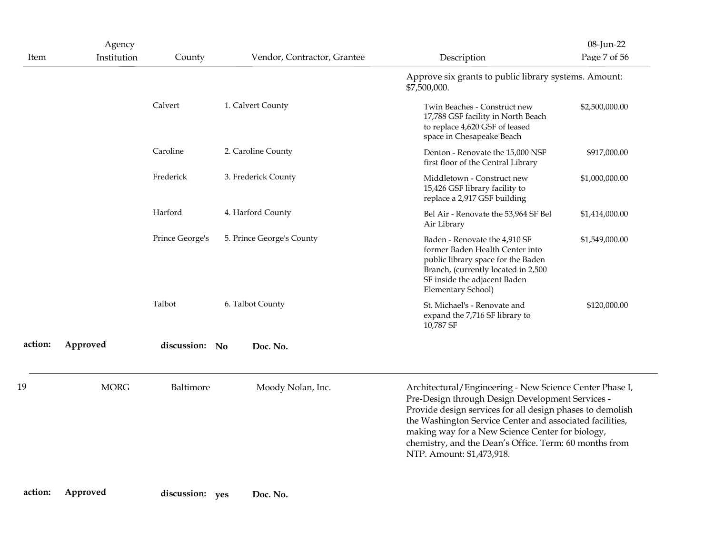| Item    | Agency<br>Institution | County          | Vendor, Contractor, Grantee | Description                                                                                                                                                                                                                                                                                                                                                                     | 08-Jun-22<br>Page 7 of 56 |
|---------|-----------------------|-----------------|-----------------------------|---------------------------------------------------------------------------------------------------------------------------------------------------------------------------------------------------------------------------------------------------------------------------------------------------------------------------------------------------------------------------------|---------------------------|
|         |                       |                 |                             | Approve six grants to public library systems. Amount:<br>\$7,500,000.                                                                                                                                                                                                                                                                                                           |                           |
|         |                       | Calvert         | 1. Calvert County           | Twin Beaches - Construct new<br>17,788 GSF facility in North Beach<br>to replace 4,620 GSF of leased<br>space in Chesapeake Beach                                                                                                                                                                                                                                               | \$2,500,000.00            |
|         |                       | Caroline        | 2. Caroline County          | Denton - Renovate the 15,000 NSF<br>first floor of the Central Library                                                                                                                                                                                                                                                                                                          | \$917,000.00              |
|         |                       | Frederick       | 3. Frederick County         | Middletown - Construct new<br>15,426 GSF library facility to<br>replace a 2,917 GSF building                                                                                                                                                                                                                                                                                    | \$1,000,000.00            |
|         |                       | Harford         | 4. Harford County           | Bel Air - Renovate the 53,964 SF Bel<br>Air Library                                                                                                                                                                                                                                                                                                                             | \$1,414,000.00            |
|         |                       | Prince George's | 5. Prince George's County   | Baden - Renovate the 4,910 SF<br>former Baden Health Center into<br>public library space for the Baden<br>Branch, (currently located in 2,500<br>SF inside the adjacent Baden<br>Elementary School)                                                                                                                                                                             | \$1,549,000.00            |
|         |                       | Talbot          | 6. Talbot County            | St. Michael's - Renovate and<br>expand the 7,716 SF library to<br>10,787 SF                                                                                                                                                                                                                                                                                                     | \$120,000.00              |
| action: | Approved              | discussion: No  | Doc. No.                    |                                                                                                                                                                                                                                                                                                                                                                                 |                           |
| 19      | <b>MORG</b>           | Baltimore       | Moody Nolan, Inc.           | Architectural/Engineering - New Science Center Phase I,<br>Pre-Design through Design Development Services -<br>Provide design services for all design phases to demolish<br>the Washington Service Center and associated facilities,<br>making way for a New Science Center for biology,<br>chemistry, and the Dean's Office. Term: 60 months from<br>NTP. Amount: \$1,473,918. |                           |
| action: | Approved              | discussion: yes | Doc. No.                    |                                                                                                                                                                                                                                                                                                                                                                                 |                           |
|         |                       |                 |                             |                                                                                                                                                                                                                                                                                                                                                                                 |                           |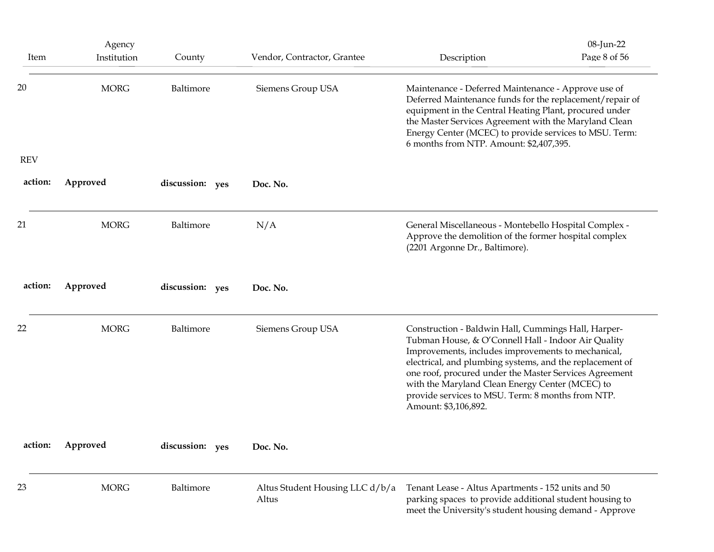| Item             | Agency<br>Institution | County          | Vendor, Contractor, Grantee              | Description                                                                                                                                                                                                                                                                                                                                                                                                            | 08-Jun-22<br>Page 8 of 56 |
|------------------|-----------------------|-----------------|------------------------------------------|------------------------------------------------------------------------------------------------------------------------------------------------------------------------------------------------------------------------------------------------------------------------------------------------------------------------------------------------------------------------------------------------------------------------|---------------------------|
| 20<br><b>REV</b> | <b>MORG</b>           | Baltimore       | Siemens Group USA                        | Maintenance - Deferred Maintenance - Approve use of<br>Deferred Maintenance funds for the replacement/repair of<br>equipment in the Central Heating Plant, procured under<br>the Master Services Agreement with the Maryland Clean<br>Energy Center (MCEC) to provide services to MSU. Term:<br>6 months from NTP. Amount: \$2,407,395.                                                                                |                           |
| action:          | Approved              | discussion: yes | Doc. No.                                 |                                                                                                                                                                                                                                                                                                                                                                                                                        |                           |
| 21               | <b>MORG</b>           | Baltimore       | N/A                                      | General Miscellaneous - Montebello Hospital Complex -<br>Approve the demolition of the former hospital complex<br>(2201 Argonne Dr., Baltimore).                                                                                                                                                                                                                                                                       |                           |
| action:          | Approved              | discussion: yes | Doc. No.                                 |                                                                                                                                                                                                                                                                                                                                                                                                                        |                           |
| 22               | <b>MORG</b>           | Baltimore       | Siemens Group USA                        | Construction - Baldwin Hall, Cummings Hall, Harper-<br>Tubman House, & O'Connell Hall - Indoor Air Quality<br>Improvements, includes improvements to mechanical,<br>electrical, and plumbing systems, and the replacement of<br>one roof, procured under the Master Services Agreement<br>with the Maryland Clean Energy Center (MCEC) to<br>provide services to MSU. Term: 8 months from NTP.<br>Amount: \$3,106,892. |                           |
| action:          | Approved              | discussion: yes | Doc. No.                                 |                                                                                                                                                                                                                                                                                                                                                                                                                        |                           |
| 23               | <b>MORG</b>           | Baltimore       | Altus Student Housing LLC d/b/a<br>Altus | Tenant Lease - Altus Apartments - 152 units and 50<br>parking spaces to provide additional student housing to<br>meet the University's student housing demand - Approve                                                                                                                                                                                                                                                |                           |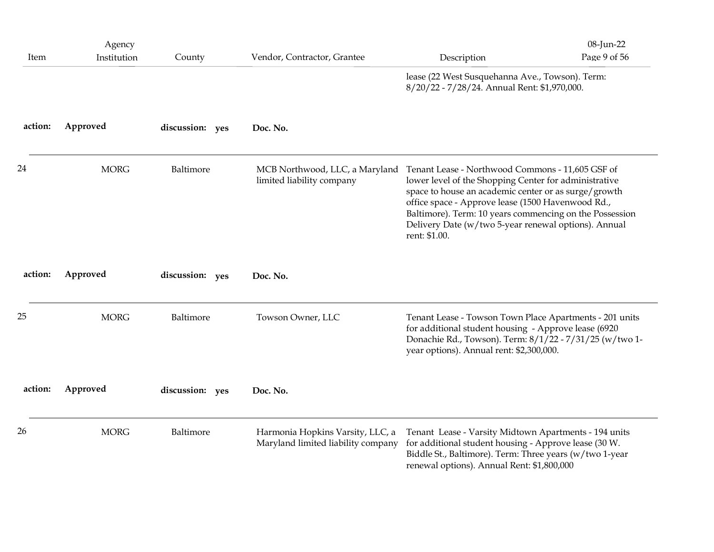| Item    | Agency<br>Institution | County          | Vendor, Contractor, Grantee                                            | Description                                                                                                                                                                                                                                                                                                                                                | 08-Jun-22<br>Page 9 of 56 |
|---------|-----------------------|-----------------|------------------------------------------------------------------------|------------------------------------------------------------------------------------------------------------------------------------------------------------------------------------------------------------------------------------------------------------------------------------------------------------------------------------------------------------|---------------------------|
|         |                       |                 |                                                                        | lease (22 West Susquehanna Ave., Towson). Term:<br>8/20/22 - 7/28/24. Annual Rent: \$1,970,000.                                                                                                                                                                                                                                                            |                           |
| action: | Approved              | discussion: yes | Doc. No.                                                               |                                                                                                                                                                                                                                                                                                                                                            |                           |
| 24      | <b>MORG</b>           | Baltimore       | MCB Northwood, LLC, a Maryland<br>limited liability company            | Tenant Lease - Northwood Commons - 11,605 GSF of<br>lower level of the Shopping Center for administrative<br>space to house an academic center or as surge/growth<br>office space - Approve lease (1500 Havenwood Rd.,<br>Baltimore). Term: 10 years commencing on the Possession<br>Delivery Date (w/two 5-year renewal options). Annual<br>rent: \$1.00. |                           |
| action: | Approved              | discussion: yes | Doc. No.                                                               |                                                                                                                                                                                                                                                                                                                                                            |                           |
| 25      | <b>MORG</b>           | Baltimore       | Towson Owner, LLC                                                      | Tenant Lease - Towson Town Place Apartments - 201 units<br>for additional student housing - Approve lease (6920<br>Donachie Rd., Towson). Term: 8/1/22 - 7/31/25 (w/two 1-<br>year options). Annual rent: \$2,300,000.                                                                                                                                     |                           |
| action: | Approved              | discussion: yes | Doc. No.                                                               |                                                                                                                                                                                                                                                                                                                                                            |                           |
| 26      | <b>MORG</b>           | Baltimore       | Harmonia Hopkins Varsity, LLC, a<br>Maryland limited liability company | Tenant Lease - Varsity Midtown Apartments - 194 units<br>for additional student housing - Approve lease (30 W.<br>Biddle St., Baltimore). Term: Three years (w/two 1-year<br>renewal options). Annual Rent: \$1,800,000                                                                                                                                    |                           |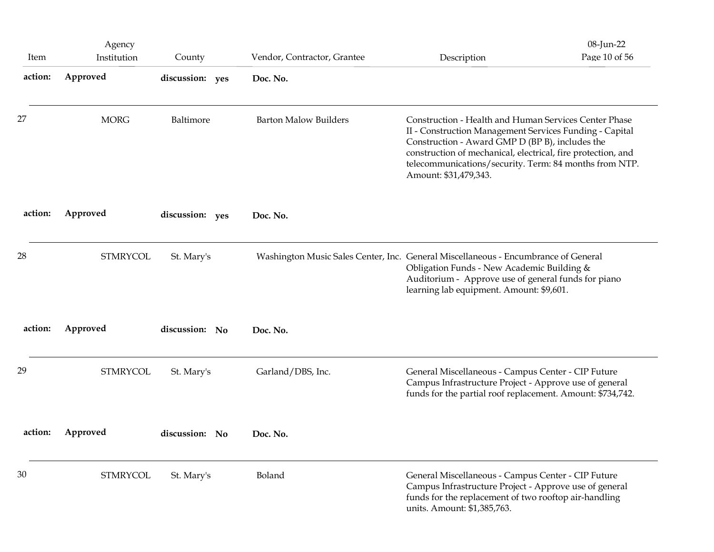| Item    | Agency<br>Institution | County          | Vendor, Contractor, Grantee                                                        | Description                                                                                                                                                                                                                                                                                                            | 08-Jun-22<br>Page 10 of 56 |
|---------|-----------------------|-----------------|------------------------------------------------------------------------------------|------------------------------------------------------------------------------------------------------------------------------------------------------------------------------------------------------------------------------------------------------------------------------------------------------------------------|----------------------------|
| action: | Approved              | discussion: yes | Doc. No.                                                                           |                                                                                                                                                                                                                                                                                                                        |                            |
| 27      | <b>MORG</b>           | Baltimore       | <b>Barton Malow Builders</b>                                                       | Construction - Health and Human Services Center Phase<br>II - Construction Management Services Funding - Capital<br>Construction - Award GMP D (BP B), includes the<br>construction of mechanical, electrical, fire protection, and<br>telecommunications/security. Term: 84 months from NTP.<br>Amount: \$31,479,343. |                            |
| action: | Approved              | discussion: yes | Doc. No.                                                                           |                                                                                                                                                                                                                                                                                                                        |                            |
| 28      | <b>STMRYCOL</b>       | St. Mary's      | Washington Music Sales Center, Inc. General Miscellaneous - Encumbrance of General | Obligation Funds - New Academic Building &<br>Auditorium - Approve use of general funds for piano<br>learning lab equipment. Amount: \$9,601.                                                                                                                                                                          |                            |
| action: | Approved              | discussion: No  | Doc. No.                                                                           |                                                                                                                                                                                                                                                                                                                        |                            |
| 29      | <b>STMRYCOL</b>       | St. Mary's      | Garland/DBS, Inc.                                                                  | General Miscellaneous - Campus Center - CIP Future<br>Campus Infrastructure Project - Approve use of general<br>funds for the partial roof replacement. Amount: \$734,742.                                                                                                                                             |                            |
| action: | Approved              | discussion: No  | Doc. No.                                                                           |                                                                                                                                                                                                                                                                                                                        |                            |
| 30      | <b>STMRYCOL</b>       | St. Mary's      | Boland                                                                             | General Miscellaneous - Campus Center - CIP Future<br>Campus Infrastructure Project - Approve use of general<br>funds for the replacement of two rooftop air-handling<br>units. Amount: \$1,385,763.                                                                                                                   |                            |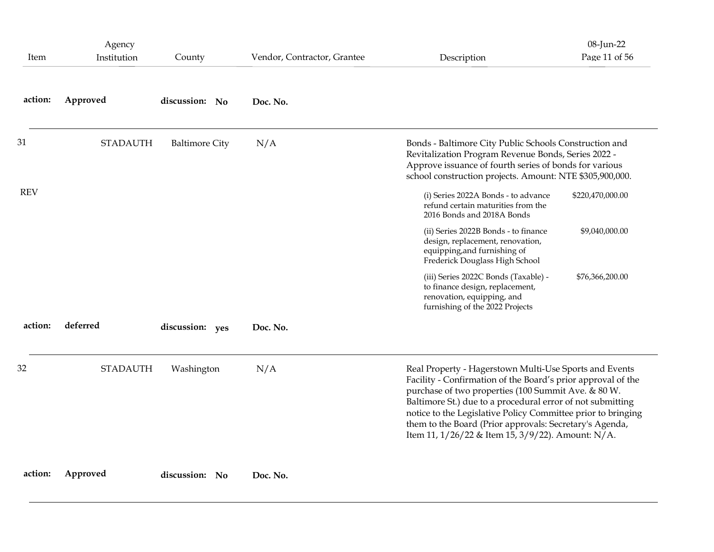| Item       | Agency<br>Institution | County                | Vendor, Contractor, Grantee | Description                                                                                                                                                                                                                                                                                                                                                                                                                 | 08-Jun-22<br>Page 11 of 56 |
|------------|-----------------------|-----------------------|-----------------------------|-----------------------------------------------------------------------------------------------------------------------------------------------------------------------------------------------------------------------------------------------------------------------------------------------------------------------------------------------------------------------------------------------------------------------------|----------------------------|
| action:    | Approved              | discussion: No        | Doc. No.                    |                                                                                                                                                                                                                                                                                                                                                                                                                             |                            |
| 31         | <b>STADAUTH</b>       | <b>Baltimore City</b> | N/A                         | Bonds - Baltimore City Public Schools Construction and<br>Revitalization Program Revenue Bonds, Series 2022 -<br>Approve issuance of fourth series of bonds for various<br>school construction projects. Amount: NTE \$305,900,000.                                                                                                                                                                                         |                            |
| <b>REV</b> |                       |                       |                             | (i) Series 2022A Bonds - to advance<br>refund certain maturities from the<br>2016 Bonds and 2018A Bonds                                                                                                                                                                                                                                                                                                                     | \$220,470,000.00           |
|            |                       |                       |                             | (ii) Series 2022B Bonds - to finance<br>design, replacement, renovation,<br>equipping, and furnishing of<br>Frederick Douglass High School                                                                                                                                                                                                                                                                                  | \$9,040,000.00             |
|            |                       |                       |                             | (iii) Series 2022C Bonds (Taxable) -<br>to finance design, replacement,<br>renovation, equipping, and<br>furnishing of the 2022 Projects                                                                                                                                                                                                                                                                                    | \$76,366,200.00            |
| action:    | deferred              | discussion: yes       | Doc. No.                    |                                                                                                                                                                                                                                                                                                                                                                                                                             |                            |
| 32         | <b>STADAUTH</b>       | Washington            | N/A                         | Real Property - Hagerstown Multi-Use Sports and Events<br>Facility - Confirmation of the Board's prior approval of the<br>purchase of two properties (100 Summit Ave. & 80 W.<br>Baltimore St.) due to a procedural error of not submitting<br>notice to the Legislative Policy Committee prior to bringing<br>them to the Board (Prior approvals: Secretary's Agenda,<br>Item 11, 1/26/22 & Item 15, 3/9/22). Amount: N/A. |                            |
| action:    | Approved              | discussion: No        | Doc. No.                    |                                                                                                                                                                                                                                                                                                                                                                                                                             |                            |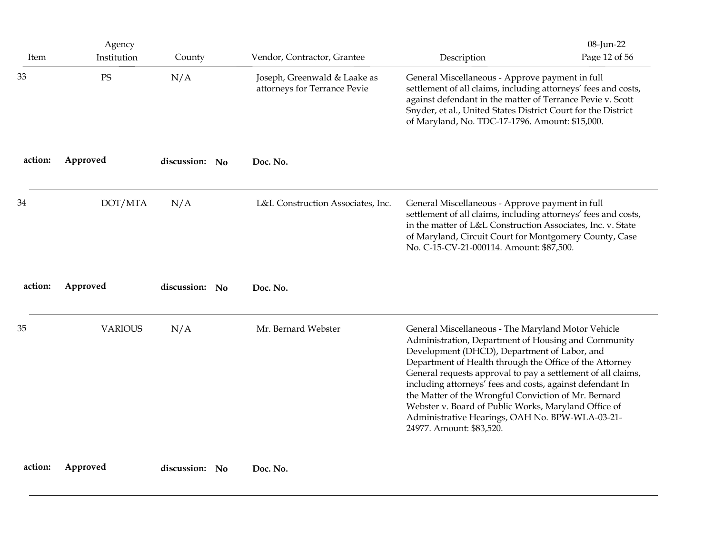| Item    | Agency<br>Institution | County         | Vendor, Contractor, Grantee                                  | Description                                                                                                                                                                                                                                                                                                                                                                                                                                                                                                                                      | 08-Jun-22<br>Page 12 of 56 |
|---------|-----------------------|----------------|--------------------------------------------------------------|--------------------------------------------------------------------------------------------------------------------------------------------------------------------------------------------------------------------------------------------------------------------------------------------------------------------------------------------------------------------------------------------------------------------------------------------------------------------------------------------------------------------------------------------------|----------------------------|
| 33      | PS                    | N/A            | Joseph, Greenwald & Laake as<br>attorneys for Terrance Pevie | General Miscellaneous - Approve payment in full<br>settlement of all claims, including attorneys' fees and costs,<br>against defendant in the matter of Terrance Pevie v. Scott<br>Snyder, et al., United States District Court for the District<br>of Maryland, No. TDC-17-1796. Amount: \$15,000.                                                                                                                                                                                                                                              |                            |
| action: | Approved              | discussion: No | Doc. No.                                                     |                                                                                                                                                                                                                                                                                                                                                                                                                                                                                                                                                  |                            |
| 34      | DOT/MTA               | N/A            | L&L Construction Associates, Inc.                            | General Miscellaneous - Approve payment in full<br>settlement of all claims, including attorneys' fees and costs,<br>in the matter of L&L Construction Associates, Inc. v. State<br>of Maryland, Circuit Court for Montgomery County, Case<br>No. C-15-CV-21-000114. Amount: \$87,500.                                                                                                                                                                                                                                                           |                            |
| action: | Approved              | discussion: No | Doc. No.                                                     |                                                                                                                                                                                                                                                                                                                                                                                                                                                                                                                                                  |                            |
| 35      | <b>VARIOUS</b>        | N/A            | Mr. Bernard Webster                                          | General Miscellaneous - The Maryland Motor Vehicle<br>Administration, Department of Housing and Community<br>Development (DHCD), Department of Labor, and<br>Department of Health through the Office of the Attorney<br>General requests approval to pay a settlement of all claims,<br>including attorneys' fees and costs, against defendant In<br>the Matter of the Wrongful Conviction of Mr. Bernard<br>Webster v. Board of Public Works, Maryland Office of<br>Administrative Hearings, OAH No. BPW-WLA-03-21-<br>24977. Amount: \$83,520. |                            |
|         |                       |                |                                                              |                                                                                                                                                                                                                                                                                                                                                                                                                                                                                                                                                  |                            |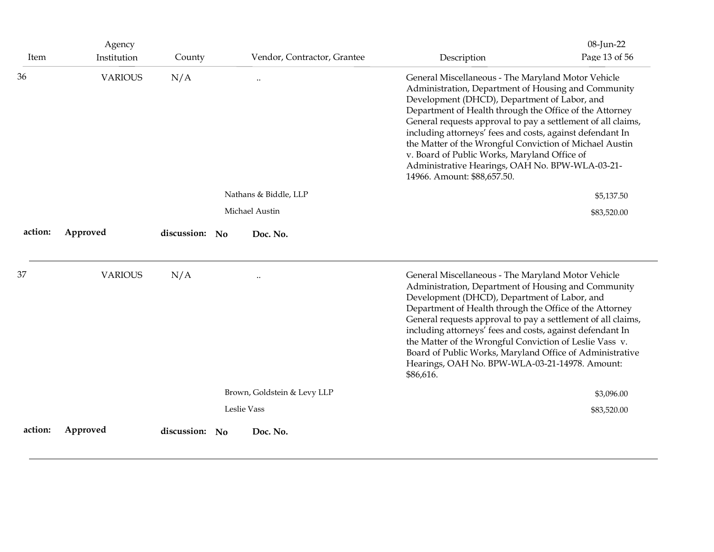| Item    | Agency<br>Institution | County         |                             | Vendor, Contractor, Grantee | Description                                                                                                                                                                                                                                                                                                                                                                                                                                                                                                                                    | 08-Jun-22<br>Page 13 of 56 |
|---------|-----------------------|----------------|-----------------------------|-----------------------------|------------------------------------------------------------------------------------------------------------------------------------------------------------------------------------------------------------------------------------------------------------------------------------------------------------------------------------------------------------------------------------------------------------------------------------------------------------------------------------------------------------------------------------------------|----------------------------|
| 36      | <b>VARIOUS</b>        | N/A            | $\ddotsc$                   |                             | General Miscellaneous - The Maryland Motor Vehicle<br>Administration, Department of Housing and Community<br>Development (DHCD), Department of Labor, and<br>Department of Health through the Office of the Attorney<br>General requests approval to pay a settlement of all claims,<br>including attorneys' fees and costs, against defendant In<br>the Matter of the Wrongful Conviction of Michael Austin<br>v. Board of Public Works, Maryland Office of<br>Administrative Hearings, OAH No. BPW-WLA-03-21-<br>14966. Amount: \$88,657.50. |                            |
|         |                       |                | Nathans & Biddle, LLP       |                             |                                                                                                                                                                                                                                                                                                                                                                                                                                                                                                                                                | \$5,137.50                 |
|         |                       |                | Michael Austin              |                             |                                                                                                                                                                                                                                                                                                                                                                                                                                                                                                                                                | \$83,520.00                |
| action: | Approved              | discussion: No | Doc. No.                    |                             |                                                                                                                                                                                                                                                                                                                                                                                                                                                                                                                                                |                            |
| 37      | <b>VARIOUS</b>        | N/A            | $\ddotsc$                   |                             | General Miscellaneous - The Maryland Motor Vehicle<br>Administration, Department of Housing and Community<br>Development (DHCD), Department of Labor, and<br>Department of Health through the Office of the Attorney<br>General requests approval to pay a settlement of all claims,<br>including attorneys' fees and costs, against defendant In<br>the Matter of the Wrongful Conviction of Leslie Vass v.<br>Board of Public Works, Maryland Office of Administrative<br>Hearings, OAH No. BPW-WLA-03-21-14978. Amount:<br>\$86,616.        |                            |
|         |                       |                | Brown, Goldstein & Levy LLP |                             |                                                                                                                                                                                                                                                                                                                                                                                                                                                                                                                                                | \$3,096.00                 |
|         |                       |                | Leslie Vass                 |                             |                                                                                                                                                                                                                                                                                                                                                                                                                                                                                                                                                | \$83,520.00                |
|         |                       |                |                             |                             |                                                                                                                                                                                                                                                                                                                                                                                                                                                                                                                                                |                            |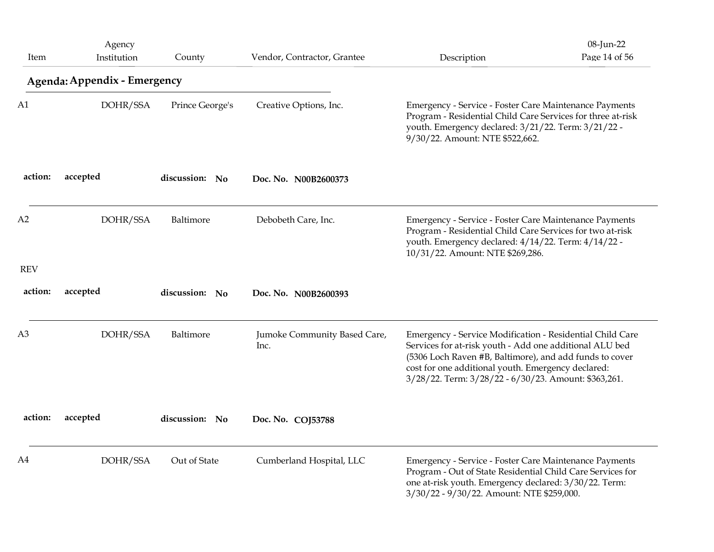| Item       | Agency<br>Institution        | County          | Vendor, Contractor, Grantee          | Description                                                                                                                                                                                                                                                                                   | 08-Jun-22<br>Page 14 of 56 |
|------------|------------------------------|-----------------|--------------------------------------|-----------------------------------------------------------------------------------------------------------------------------------------------------------------------------------------------------------------------------------------------------------------------------------------------|----------------------------|
|            | Agenda: Appendix - Emergency |                 |                                      |                                                                                                                                                                                                                                                                                               |                            |
| A1         | DOHR/SSA                     | Prince George's | Creative Options, Inc.               | Emergency - Service - Foster Care Maintenance Payments<br>Program - Residential Child Care Services for three at-risk<br>youth. Emergency declared: 3/21/22. Term: 3/21/22 -<br>9/30/22. Amount: NTE \$522,662.                                                                               |                            |
| action:    | accepted                     | discussion: No  | Doc. No. N00B2600373                 |                                                                                                                                                                                                                                                                                               |                            |
| A2         | DOHR/SSA                     | Baltimore       | Debobeth Care, Inc.                  | Emergency - Service - Foster Care Maintenance Payments<br>Program - Residential Child Care Services for two at-risk<br>youth. Emergency declared: 4/14/22. Term: 4/14/22 -<br>10/31/22. Amount: NTE \$269,286.                                                                                |                            |
| <b>REV</b> |                              |                 |                                      |                                                                                                                                                                                                                                                                                               |                            |
| action:    | accepted                     | discussion: No  | Doc. No. N00B2600393                 |                                                                                                                                                                                                                                                                                               |                            |
| A3         | DOHR/SSA                     | Baltimore       | Jumoke Community Based Care,<br>Inc. | Emergency - Service Modification - Residential Child Care<br>Services for at-risk youth - Add one additional ALU bed<br>(5306 Loch Raven #B, Baltimore), and add funds to cover<br>cost for one additional youth. Emergency declared:<br>3/28/22. Term: 3/28/22 - 6/30/23. Amount: \$363,261. |                            |
| action:    | accepted                     | discussion: No  | Doc. No. COJ53788                    |                                                                                                                                                                                                                                                                                               |                            |
| A4         | DOHR/SSA                     | Out of State    | Cumberland Hospital, LLC             | Emergency - Service - Foster Care Maintenance Payments<br>Program - Out of State Residential Child Care Services for<br>one at-risk youth. Emergency declared: 3/30/22. Term:<br>3/30/22 - 9/30/22. Amount: NTE \$259,000.                                                                    |                            |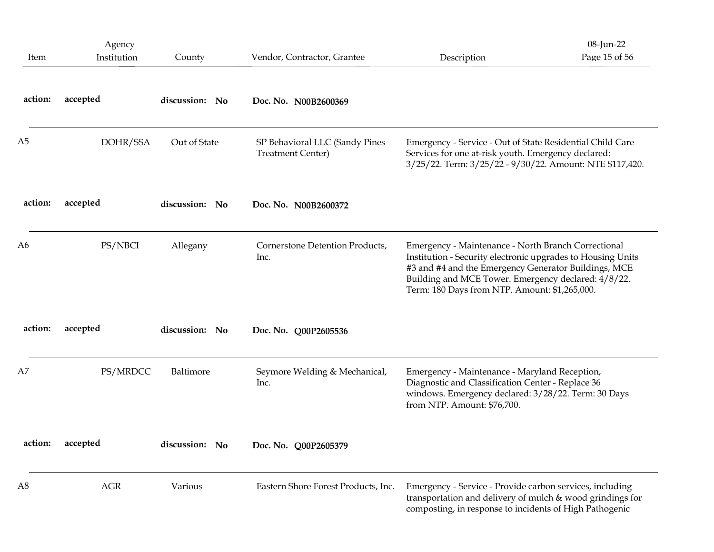| Item           | Agency<br>Institution | County         | Vendor, Contractor, Grantee                                | Description                                                                                                                                                                                                                                                                        | 08-Jun-22<br>Page 15 of 56 |
|----------------|-----------------------|----------------|------------------------------------------------------------|------------------------------------------------------------------------------------------------------------------------------------------------------------------------------------------------------------------------------------------------------------------------------------|----------------------------|
| action:        | accepted              | discussion: No | Doc. No. N00B2600369                                       |                                                                                                                                                                                                                                                                                    |                            |
| A <sub>5</sub> | DOHR/SSA              | Out of State   | SP Behavioral LLC (Sandy Pines<br><b>Treatment Center)</b> | Emergency - Service - Out of State Residential Child Care<br>Services for one at-risk youth. Emergency declared:<br>3/25/22. Term: 3/25/22 - 9/30/22. Amount: NTE \$117,420.                                                                                                       |                            |
| action:        | accepted              | discussion: No | Doc. No. N00B2600372                                       |                                                                                                                                                                                                                                                                                    |                            |
| A <sub>6</sub> | PS/NBCI               | Allegany       | Cornerstone Detention Products,<br>Inc.                    | Emergency - Maintenance - North Branch Correctional<br>Institution - Security electronic upgrades to Housing Units<br>#3 and #4 and the Emergency Generator Buildings, MCE<br>Building and MCE Tower. Emergency declared: 4/8/22.<br>Term: 180 Days from NTP. Amount: \$1,265,000. |                            |
| action:        | accepted              | discussion: No | Doc. No. Q00P2605536                                       |                                                                                                                                                                                                                                                                                    |                            |
| A7             | PS/MRDCC              | Baltimore      | Seymore Welding & Mechanical,<br>Inc.                      | Emergency - Maintenance - Maryland Reception,<br>Diagnostic and Classification Center - Replace 36<br>windows. Emergency declared: 3/28/22. Term: 30 Days<br>from NTP. Amount: \$76,700.                                                                                           |                            |
| action:        | accepted              | discussion: No | Doc. No. Q00P2605379                                       |                                                                                                                                                                                                                                                                                    |                            |
| A8             | $\rm{AGR}$            | Various        | Eastern Shore Forest Products, Inc.                        | Emergency - Service - Provide carbon services, including<br>transportation and delivery of mulch & wood grindings for<br>composting, in response to incidents of High Pathogenic                                                                                                   |                            |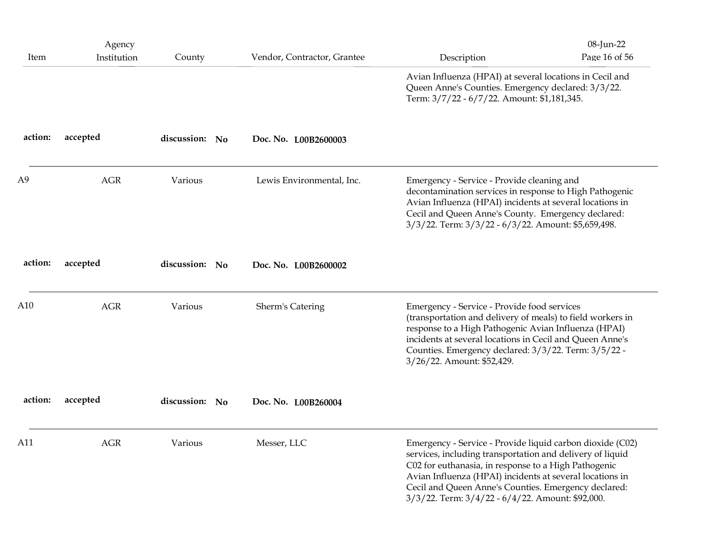| Item           | Agency<br>Institution | County         | Vendor, Contractor, Grantee | Description                                                                                                                                                                                                                                                                                                                                            | 08-Jun-22<br>Page 16 of 56 |
|----------------|-----------------------|----------------|-----------------------------|--------------------------------------------------------------------------------------------------------------------------------------------------------------------------------------------------------------------------------------------------------------------------------------------------------------------------------------------------------|----------------------------|
|                |                       |                |                             | Avian Influenza (HPAI) at several locations in Cecil and<br>Queen Anne's Counties. Emergency declared: 3/3/22.<br>Term: 3/7/22 - 6/7/22. Amount: \$1,181,345.                                                                                                                                                                                          |                            |
| action:        | accepted              | discussion: No | Doc. No. L00B2600003        |                                                                                                                                                                                                                                                                                                                                                        |                            |
| A <sub>9</sub> | <b>AGR</b>            | Various        | Lewis Environmental, Inc.   | Emergency - Service - Provide cleaning and<br>decontamination services in response to High Pathogenic<br>Avian Influenza (HPAI) incidents at several locations in<br>Cecil and Queen Anne's County. Emergency declared:<br>3/3/22. Term: 3/3/22 - 6/3/22. Amount: \$5,659,498.                                                                         |                            |
| action:        | accepted              | discussion: No | Doc. No. L00B2600002        |                                                                                                                                                                                                                                                                                                                                                        |                            |
| A10            | <b>AGR</b>            | Various        | Sherm's Catering            | Emergency - Service - Provide food services<br>(transportation and delivery of meals) to field workers in<br>response to a High Pathogenic Avian Influenza (HPAI)<br>incidents at several locations in Cecil and Queen Anne's<br>Counties. Emergency declared: 3/3/22. Term: 3/5/22 -<br>3/26/22. Amount: \$52,429.                                    |                            |
| action:        | accepted              | discussion: No | Doc. No. L00B260004         |                                                                                                                                                                                                                                                                                                                                                        |                            |
| A11            | <b>AGR</b>            | Various        | Messer, LLC                 | Emergency - Service - Provide liquid carbon dioxide (C02)<br>services, including transportation and delivery of liquid<br>C02 for euthanasia, in response to a High Pathogenic<br>Avian Influenza (HPAI) incidents at several locations in<br>Cecil and Queen Anne's Counties. Emergency declared:<br>3/3/22. Term: 3/4/22 - 6/4/22. Amount: \$92,000. |                            |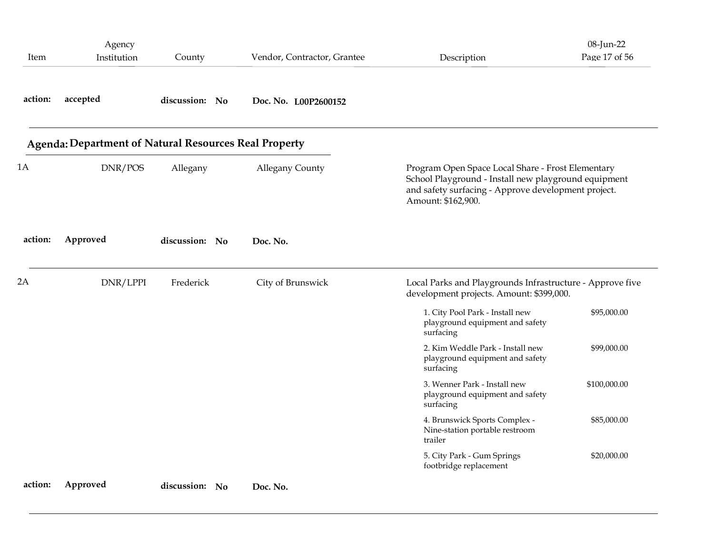|         | Agency                                                |                |                             |                                                                                                                                                                                        | 08-Jun-22     |
|---------|-------------------------------------------------------|----------------|-----------------------------|----------------------------------------------------------------------------------------------------------------------------------------------------------------------------------------|---------------|
| Item    | Institution                                           | County         | Vendor, Contractor, Grantee | Description                                                                                                                                                                            | Page 17 of 56 |
| action: | accepted                                              | discussion: No | Doc. No. L00P2600152        |                                                                                                                                                                                        |               |
|         | Agenda: Department of Natural Resources Real Property |                |                             |                                                                                                                                                                                        |               |
| 1Α      | DNR/POS                                               | Allegany       | <b>Allegany County</b>      | Program Open Space Local Share - Frost Elementary<br>School Playground - Install new playground equipment<br>and safety surfacing - Approve development project.<br>Amount: \$162,900. |               |
| action: | Approved                                              | discussion: No | Doc. No.                    |                                                                                                                                                                                        |               |
| 2Α      | DNR/LPPI                                              | Frederick      | City of Brunswick           | Local Parks and Playgrounds Infrastructure - Approve five<br>development projects. Amount: \$399,000.                                                                                  |               |
|         |                                                       |                |                             | 1. City Pool Park - Install new<br>playground equipment and safety<br>surfacing                                                                                                        | \$95,000.00   |
|         |                                                       |                |                             | 2. Kim Weddle Park - Install new<br>playground equipment and safety<br>surfacing                                                                                                       | \$99,000.00   |
|         |                                                       |                |                             | 3. Wenner Park - Install new<br>playground equipment and safety<br>surfacing                                                                                                           | \$100,000.00  |
|         |                                                       |                |                             | 4. Brunswick Sports Complex -<br>Nine-station portable restroom<br>trailer                                                                                                             | \$85,000.00   |
|         |                                                       |                |                             | 5. City Park - Gum Springs<br>footbridge replacement                                                                                                                                   | \$20,000.00   |
| action: | Approved                                              | discussion: No | Doc. No.                    |                                                                                                                                                                                        |               |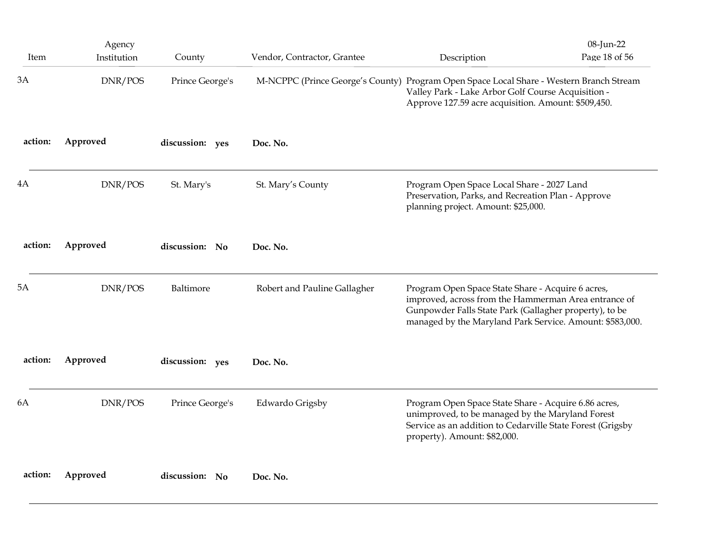| Item    | Agency<br>Institution | County          | Vendor, Contractor, Grantee      | 08-Jun-22<br>Page 18 of 56<br>Description                                                                                                                                                                                       |  |
|---------|-----------------------|-----------------|----------------------------------|---------------------------------------------------------------------------------------------------------------------------------------------------------------------------------------------------------------------------------|--|
| 3A      | DNR/POS               | Prince George's | M-NCPPC (Prince George's County) | Program Open Space Local Share - Western Branch Stream<br>Valley Park - Lake Arbor Golf Course Acquisition -<br>Approve 127.59 acre acquisition. Amount: \$509,450.                                                             |  |
| action: | Approved              | discussion: yes | Doc. No.                         |                                                                                                                                                                                                                                 |  |
| 4A      | DNR/POS               | St. Mary's      | St. Mary's County                | Program Open Space Local Share - 2027 Land<br>Preservation, Parks, and Recreation Plan - Approve<br>planning project. Amount: \$25,000.                                                                                         |  |
| action: | Approved              | discussion: No  | Doc. No.                         |                                                                                                                                                                                                                                 |  |
| 5A      | DNR/POS               | Baltimore       | Robert and Pauline Gallagher     | Program Open Space State Share - Acquire 6 acres,<br>improved, across from the Hammerman Area entrance of<br>Gunpowder Falls State Park (Gallagher property), to be<br>managed by the Maryland Park Service. Amount: \$583,000. |  |
| action: | Approved              | discussion: yes | Doc. No.                         |                                                                                                                                                                                                                                 |  |
| 6A      | DNR/POS               | Prince George's | Edwardo Grigsby                  | Program Open Space State Share - Acquire 6.86 acres,<br>unimproved, to be managed by the Maryland Forest<br>Service as an addition to Cedarville State Forest (Grigsby<br>property). Amount: \$82,000.                          |  |
| action: | Approved              | discussion: No  | Doc. No.                         |                                                                                                                                                                                                                                 |  |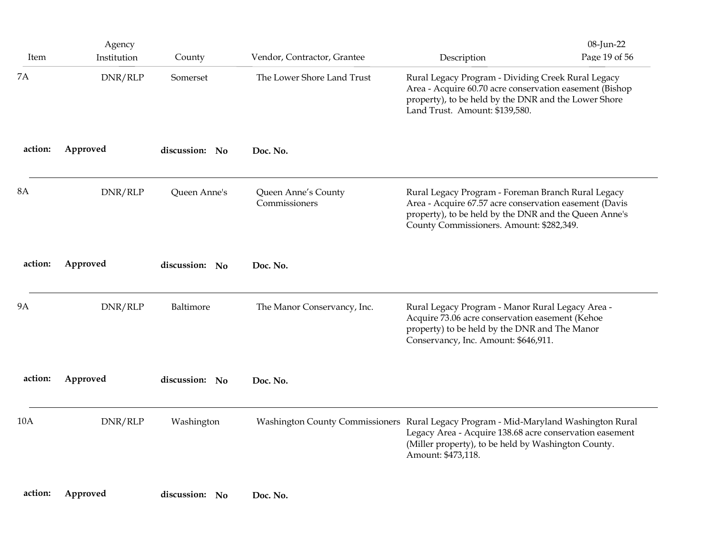| Item      | Agency<br>Institution | County         | Vendor, Contractor, Grantee          | 08-Jun-22<br>Page 19 of 56<br>Description                                                                                                                                                                                    |
|-----------|-----------------------|----------------|--------------------------------------|------------------------------------------------------------------------------------------------------------------------------------------------------------------------------------------------------------------------------|
| 7A        | DNR/RLP               | Somerset       | The Lower Shore Land Trust           | Rural Legacy Program - Dividing Creek Rural Legacy<br>Area - Acquire 60.70 acre conservation easement (Bishop<br>property), to be held by the DNR and the Lower Shore<br>Land Trust. Amount: \$139,580.                      |
| action:   | Approved              | discussion: No | Doc. No.                             |                                                                                                                                                                                                                              |
| <b>8A</b> | DNR/RLP               | Queen Anne's   | Queen Anne's County<br>Commissioners | Rural Legacy Program - Foreman Branch Rural Legacy<br>Area - Acquire 67.57 acre conservation easement (Davis<br>property), to be held by the DNR and the Queen Anne's<br>County Commissioners. Amount: \$282,349.            |
| action:   | Approved              | discussion: No | Doc. No.                             |                                                                                                                                                                                                                              |
| <b>9A</b> | DNR/RLP               | Baltimore      | The Manor Conservancy, Inc.          | Rural Legacy Program - Manor Rural Legacy Area -<br>Acquire 73.06 acre conservation easement (Kehoe<br>property) to be held by the DNR and The Manor<br>Conservancy, Inc. Amount: \$646,911.                                 |
| action:   | Approved              | discussion: No | Doc. No.                             |                                                                                                                                                                                                                              |
| 10A       | DNR/RLP               | Washington     |                                      | Washington County Commissioners Rural Legacy Program - Mid-Maryland Washington Rural<br>Legacy Area - Acquire 138.68 acre conservation easement<br>(Miller property), to be held by Washington County.<br>Amount: \$473,118. |
| action:   | Approved              | discussion: No | Doc. No.                             |                                                                                                                                                                                                                              |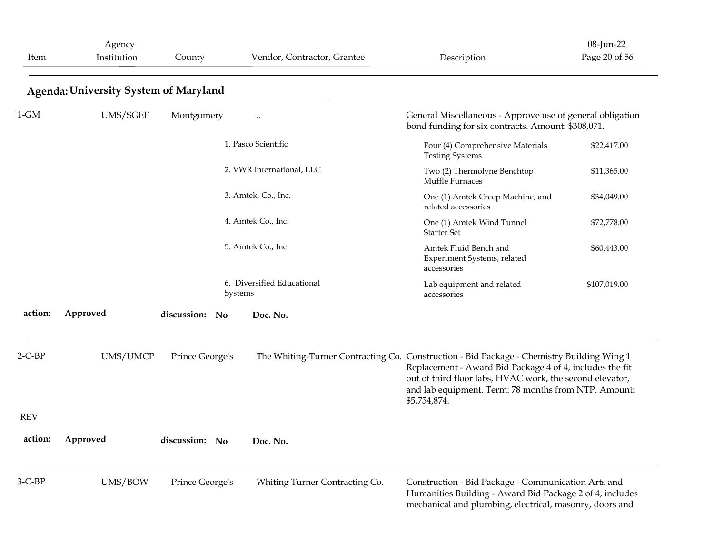| Item       | Agency<br>Institution                 | County          |         | Vendor, Contractor, Grantee    | Description                                                                                                                                                                                                                                                                               | 08-Jun-22<br>Page 20 of 56 |
|------------|---------------------------------------|-----------------|---------|--------------------------------|-------------------------------------------------------------------------------------------------------------------------------------------------------------------------------------------------------------------------------------------------------------------------------------------|----------------------------|
|            | Agenda: University System of Maryland |                 |         |                                |                                                                                                                                                                                                                                                                                           |                            |
| $1-GM$     | UMS/SGEF                              | Montgomery      |         | $\ddot{\phantom{0}}\cdot$      | General Miscellaneous - Approve use of general obligation<br>bond funding for six contracts. Amount: \$308,071.                                                                                                                                                                           |                            |
|            |                                       |                 |         | 1. Pasco Scientific            | Four (4) Comprehensive Materials<br><b>Testing Systems</b>                                                                                                                                                                                                                                | \$22,417.00                |
|            |                                       |                 |         | 2. VWR International, LLC      | Two (2) Thermolyne Benchtop<br>Muffle Furnaces                                                                                                                                                                                                                                            | \$11,365.00                |
|            |                                       |                 |         | 3. Amtek, Co., Inc.            | One (1) Amtek Creep Machine, and<br>related accessories                                                                                                                                                                                                                                   | \$34,049.00                |
|            |                                       |                 |         | 4. Amtek Co., Inc.             | One (1) Amtek Wind Tunnel<br><b>Starter Set</b>                                                                                                                                                                                                                                           | \$72,778.00                |
|            |                                       |                 |         | 5. Amtek Co., Inc.             | Amtek Fluid Bench and<br>Experiment Systems, related<br>accessories                                                                                                                                                                                                                       | \$60,443.00                |
|            |                                       |                 | Systems | 6. Diversified Educational     | Lab equipment and related<br>accessories                                                                                                                                                                                                                                                  | \$107,019.00               |
| action:    | Approved                              | discussion: No  |         | Doc. No.                       |                                                                                                                                                                                                                                                                                           |                            |
| $2-C-BP$   | UMS/UMCP                              | Prince George's |         |                                | The Whiting-Turner Contracting Co. Construction - Bid Package - Chemistry Building Wing 1<br>Replacement - Award Bid Package 4 of 4, includes the fit<br>out of third floor labs, HVAC work, the second elevator,<br>and lab equipment. Term: 78 months from NTP. Amount:<br>\$5,754,874. |                            |
| <b>REV</b> |                                       |                 |         |                                |                                                                                                                                                                                                                                                                                           |                            |
| action:    | Approved                              | discussion: No  |         | Doc. No.                       |                                                                                                                                                                                                                                                                                           |                            |
| $3-C-BP$   | UMS/BOW                               | Prince George's |         | Whiting Turner Contracting Co. | Construction - Bid Package - Communication Arts and<br>Humanities Building - Award Bid Package 2 of 4, includes<br>mechanical and plumbing, electrical, masonry, doors and                                                                                                                |                            |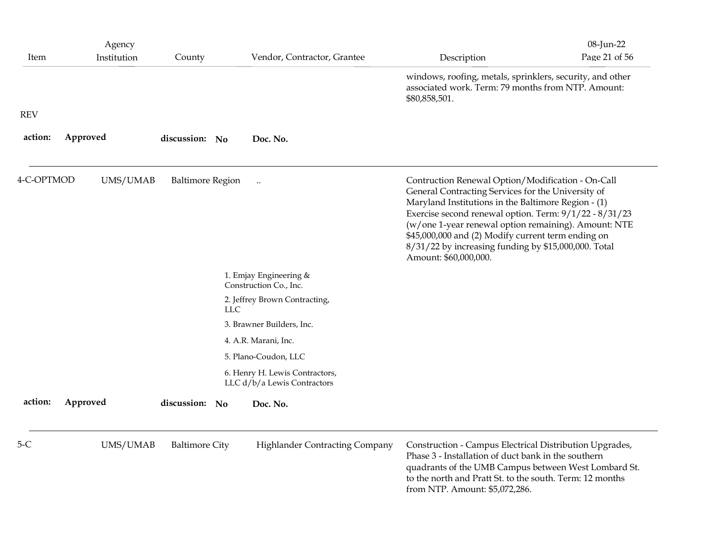| Item       | Agency<br>Institution | County                  | Vendor, Contractor, Grantee                                   | Description                                                                                                                                                                                                                                                                                                                                                                                                             | 08-Jun-22<br>Page 21 of 56 |
|------------|-----------------------|-------------------------|---------------------------------------------------------------|-------------------------------------------------------------------------------------------------------------------------------------------------------------------------------------------------------------------------------------------------------------------------------------------------------------------------------------------------------------------------------------------------------------------------|----------------------------|
|            |                       |                         |                                                               | windows, roofing, metals, sprinklers, security, and other<br>associated work. Term: 79 months from NTP. Amount:<br>\$80,858,501.                                                                                                                                                                                                                                                                                        |                            |
| <b>REV</b> |                       |                         |                                                               |                                                                                                                                                                                                                                                                                                                                                                                                                         |                            |
| action:    | Approved              | discussion: No          | Doc. No.                                                      |                                                                                                                                                                                                                                                                                                                                                                                                                         |                            |
| 4-C-OPTMOD | UMS/UMAB              | <b>Baltimore Region</b> | $\ddots$                                                      | Contruction Renewal Option/Modification - On-Call<br>General Contracting Services for the University of<br>Maryland Institutions in the Baltimore Region - (1)<br>Exercise second renewal option. Term: 9/1/22 - 8/31/23<br>(w/one 1-year renewal option remaining). Amount: NTE<br>\$45,000,000 and (2) Modify current term ending on<br>8/31/22 by increasing funding by \$15,000,000. Total<br>Amount: \$60,000,000. |                            |
|            |                       |                         | 1. Emjay Engineering &                                        |                                                                                                                                                                                                                                                                                                                                                                                                                         |                            |
|            |                       |                         | Construction Co., Inc.<br>2. Jeffrey Brown Contracting,       |                                                                                                                                                                                                                                                                                                                                                                                                                         |                            |
|            |                       | <b>LLC</b>              |                                                               |                                                                                                                                                                                                                                                                                                                                                                                                                         |                            |
|            |                       |                         | 3. Brawner Builders, Inc.                                     |                                                                                                                                                                                                                                                                                                                                                                                                                         |                            |
|            |                       |                         | 4. A.R. Marani, Inc.                                          |                                                                                                                                                                                                                                                                                                                                                                                                                         |                            |
|            |                       |                         | 5. Plano-Coudon, LLC                                          |                                                                                                                                                                                                                                                                                                                                                                                                                         |                            |
|            |                       |                         | 6. Henry H. Lewis Contractors,<br>LLC d/b/a Lewis Contractors |                                                                                                                                                                                                                                                                                                                                                                                                                         |                            |
| action:    | Approved              | discussion: No          | Doc. No.                                                      |                                                                                                                                                                                                                                                                                                                                                                                                                         |                            |
| $5-C$      | UMS/UMAB              | <b>Baltimore City</b>   | Highlander Contracting Company                                | Construction - Campus Electrical Distribution Upgrades,<br>Phase 3 - Installation of duct bank in the southern<br>quadrants of the UMB Campus between West Lombard St.<br>to the north and Pratt St. to the south. Term: 12 months<br>from NTP. Amount: \$5,072,286.                                                                                                                                                    |                            |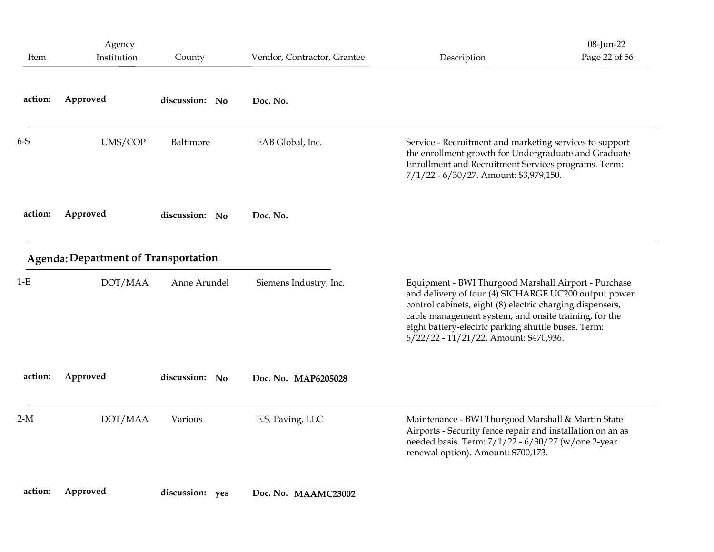| action: | Approved                                               | discussion: No | Doc. No. MAP6205028         |                                                                                                                                                                                                                                                                             |                            |
|---------|--------------------------------------------------------|----------------|-----------------------------|-----------------------------------------------------------------------------------------------------------------------------------------------------------------------------------------------------------------------------------------------------------------------------|----------------------------|
|         |                                                        |                |                             | and delivery of four (4) SICHARGE UC200 output power<br>control cabinets, eight (8) electric charging dispensers,<br>cable management system, and onsite training, for the<br>eight battery-electric parking shuttle buses. Term:<br>6/22/22 - 11/21/22. Amount: \$470,936. |                            |
| $1-E$   | <b>Agenda: Department of Transportation</b><br>DOT/MAA | Anne Arundel   | Siemens Industry, Inc.      | Equipment - BWI Thurgood Marshall Airport - Purchase                                                                                                                                                                                                                        |                            |
| action: | Approved                                               | discussion: No | Doc. No.                    |                                                                                                                                                                                                                                                                             |                            |
| $6-5$   | UMS/COP                                                | Baltimore      | EAB Global, Inc.            | Service - Recruitment and marketing services to support<br>the enrollment growth for Undergraduate and Graduate<br>Enrollment and Recruitment Services programs. Term:<br>7/1/22 - 6/30/27. Amount: \$3,979,150.                                                            |                            |
| action: | Approved                                               | discussion: No | Doc. No.                    |                                                                                                                                                                                                                                                                             |                            |
| Item    | Agency<br>Institution                                  | County         | Vendor, Contractor, Grantee | Description                                                                                                                                                                                                                                                                 | 08-Jun-22<br>Page 22 of 56 |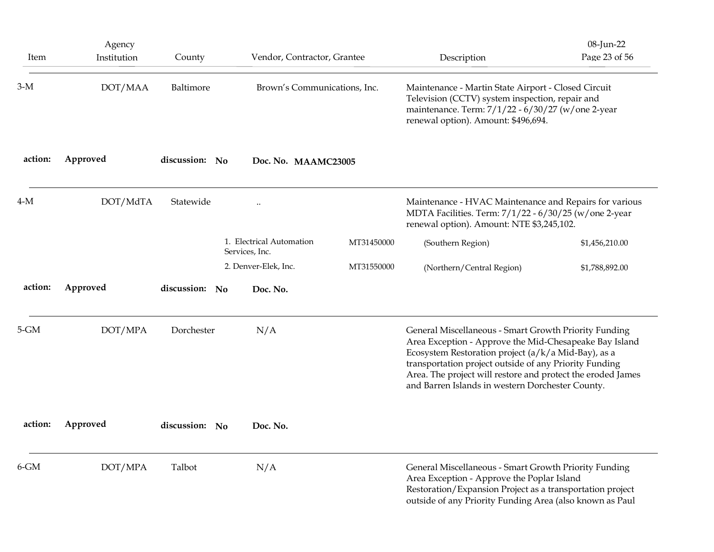| Item     | Agency<br>Institution | County         | Vendor, Contractor, Grantee                |            | Description                                                                                                                                                                                                                                                                                                                                         | 08-Jun-22<br>Page 23 of 56 |
|----------|-----------------------|----------------|--------------------------------------------|------------|-----------------------------------------------------------------------------------------------------------------------------------------------------------------------------------------------------------------------------------------------------------------------------------------------------------------------------------------------------|----------------------------|
| $3-M$    | DOT/MAA               | Baltimore      | Brown's Communications, Inc.               |            | Maintenance - Martin State Airport - Closed Circuit<br>Television (CCTV) system inspection, repair and<br>maintenance. Term: 7/1/22 - 6/30/27 (w/one 2-year<br>renewal option). Amount: \$496,694.                                                                                                                                                  |                            |
| action:  | Approved              | discussion: No | Doc. No. MAAMC23005                        |            |                                                                                                                                                                                                                                                                                                                                                     |                            |
| $4-M$    | DOT/MdTA              | Statewide      |                                            |            | Maintenance - HVAC Maintenance and Repairs for various<br>MDTA Facilities. Term: 7/1/22 - 6/30/25 (w/one 2-year<br>renewal option). Amount: NTE \$3,245,102.                                                                                                                                                                                        |                            |
|          |                       |                | 1. Electrical Automation<br>Services, Inc. | MT31450000 | (Southern Region)                                                                                                                                                                                                                                                                                                                                   | \$1,456,210.00             |
|          |                       |                | 2. Denver-Elek, Inc.                       | MT31550000 | (Northern/Central Region)                                                                                                                                                                                                                                                                                                                           | \$1,788,892.00             |
| action:  | Approved              | discussion: No | Doc. No.                                   |            |                                                                                                                                                                                                                                                                                                                                                     |                            |
| $5-GM$   | DOT/MPA               | Dorchester     | N/A                                        |            | General Miscellaneous - Smart Growth Priority Funding<br>Area Exception - Approve the Mid-Chesapeake Bay Island<br>Ecosystem Restoration project (a/k/a Mid-Bay), as a<br>transportation project outside of any Priority Funding<br>Area. The project will restore and protect the eroded James<br>and Barren Islands in western Dorchester County. |                            |
| action:  | Approved              | discussion: No | Doc. No.                                   |            |                                                                                                                                                                                                                                                                                                                                                     |                            |
| $6 - GM$ | DOT/MPA               | Talbot         | N/A                                        |            | General Miscellaneous - Smart Growth Priority Funding<br>Area Exception - Approve the Poplar Island<br>Restoration/Expansion Project as a transportation project<br>outside of any Priority Funding Area (also known as Paul                                                                                                                        |                            |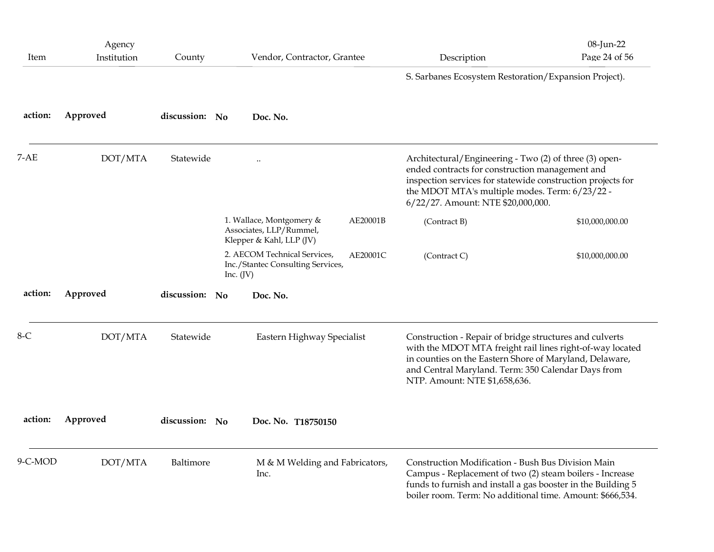|         | Agency      |                |             |                                                                                             |                                                                                                                                                                                                   | 08-Jun-22                                                                                                                                                                                                                             |
|---------|-------------|----------------|-------------|---------------------------------------------------------------------------------------------|---------------------------------------------------------------------------------------------------------------------------------------------------------------------------------------------------|---------------------------------------------------------------------------------------------------------------------------------------------------------------------------------------------------------------------------------------|
| Item    | Institution | County         |             | Vendor, Contractor, Grantee                                                                 | Description                                                                                                                                                                                       | Page 24 of 56<br>S. Sarbanes Ecosystem Restoration/Expansion Project).                                                                                                                                                                |
| action: | Approved    | discussion: No |             | Doc. No.                                                                                    |                                                                                                                                                                                                   |                                                                                                                                                                                                                                       |
| $7-AE$  | DOT/MTA     | Statewide      |             | $\ddotsc$                                                                                   | Architectural/Engineering - Two (2) of three (3) open-<br>ended contracts for construction management and<br>the MDOT MTA's multiple modes. Term: 6/23/22 -<br>6/22/27. Amount: NTE \$20,000,000. | inspection services for statewide construction projects for                                                                                                                                                                           |
|         |             |                |             | 1. Wallace, Montgomery &<br>AE20001B<br>Associates, LLP/Rummel,<br>Klepper & Kahl, LLP (JV) | (Contract B)                                                                                                                                                                                      | \$10,000,000.00                                                                                                                                                                                                                       |
|         |             |                | Inc. $(JV)$ | 2. AECOM Technical Services,<br>AE20001C<br>Inc./Stantec Consulting Services,               | (Contract C)                                                                                                                                                                                      | \$10,000,000.00                                                                                                                                                                                                                       |
| action: | Approved    | discussion: No |             | Doc. No.                                                                                    |                                                                                                                                                                                                   |                                                                                                                                                                                                                                       |
| $8-C$   | DOT/MTA     | Statewide      |             | Eastern Highway Specialist                                                                  | NTP. Amount: NTE \$1,658,636.                                                                                                                                                                     | Construction - Repair of bridge structures and culverts<br>with the MDOT MTA freight rail lines right-of-way located<br>in counties on the Eastern Shore of Maryland, Delaware,<br>and Central Maryland. Term: 350 Calendar Days from |
| action: | Approved    | discussion: No |             | Doc. No. T18750150                                                                          |                                                                                                                                                                                                   |                                                                                                                                                                                                                                       |
| 9-C-MOD | DOT/MTA     | Baltimore      |             | M & M Welding and Fabricators,<br>Inc.                                                      | Construction Modification - Bush Bus Division Main<br>boiler room. Term: No additional time. Amount: \$666,534.                                                                                   | Campus - Replacement of two (2) steam boilers - Increase<br>funds to furnish and install a gas booster in the Building 5                                                                                                              |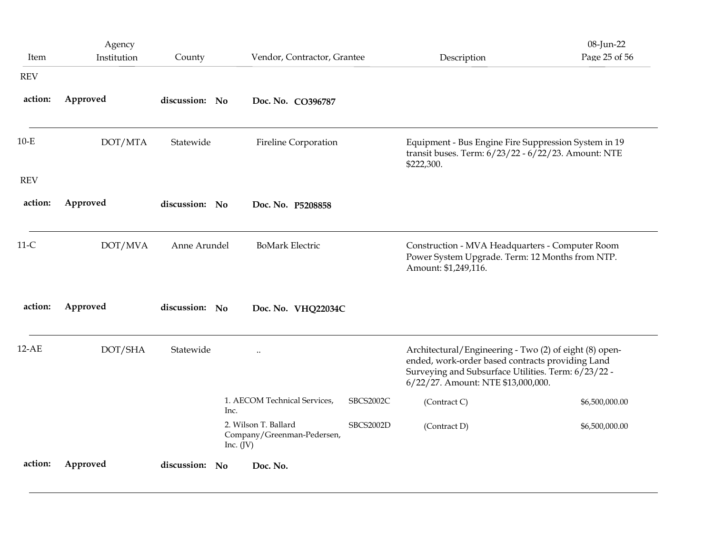|            |                       |                | 2. Wilson T. Ballard<br>SBCS2002D<br>Company/Greenman-Pedersen, | (Contract D)                                                                                                                                                                                            | \$6,500,000.00             |
|------------|-----------------------|----------------|-----------------------------------------------------------------|---------------------------------------------------------------------------------------------------------------------------------------------------------------------------------------------------------|----------------------------|
|            |                       |                | 1. AECOM Technical Services,<br>SBCS2002C<br>Inc.               | (Contract C)                                                                                                                                                                                            | \$6,500,000.00             |
| 12-AE      | DOT/SHA               | Statewide      | $\ddotsc$                                                       | Architectural/Engineering - Two (2) of eight (8) open-<br>ended, work-order based contracts providing Land<br>Surveying and Subsurface Utilities. Term: 6/23/22 -<br>6/22/27. Amount: NTE \$13,000,000. |                            |
| action:    | Approved              | discussion: No | Doc. No. VHQ22034C                                              |                                                                                                                                                                                                         |                            |
| 11-C       | DOT/MVA               | Anne Arundel   | <b>BoMark Electric</b>                                          | Construction - MVA Headquarters - Computer Room<br>Power System Upgrade. Term: 12 Months from NTP.<br>Amount: \$1,249,116.                                                                              |                            |
| action:    | Approved              | discussion: No | Doc. No. P5208858                                               |                                                                                                                                                                                                         |                            |
| <b>REV</b> |                       |                |                                                                 | \$222,300.                                                                                                                                                                                              |                            |
| $10-E$     | DOT/MTA               | Statewide      | Fireline Corporation                                            | Equipment - Bus Engine Fire Suppression System in 19<br>transit buses. Term: 6/23/22 - 6/22/23. Amount: NTE                                                                                             |                            |
| action:    | Approved              | discussion: No | Doc. No. CO396787                                               |                                                                                                                                                                                                         |                            |
| <b>REV</b> |                       |                |                                                                 |                                                                                                                                                                                                         |                            |
| Item       | Agency<br>Institution | County         | Vendor, Contractor, Grantee                                     | Description                                                                                                                                                                                             | 08-Jun-22<br>Page 25 of 56 |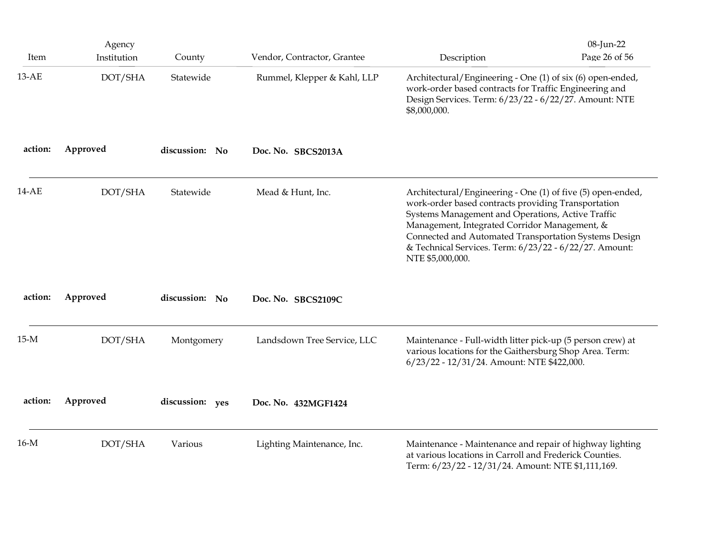|                 | Agency                 |                     | Vendor, Contractor, Grantee |                                                                                                                                                                                                                                                                                                                                                                 | 08-Jun-22<br>Page 26 of 56 |
|-----------------|------------------------|---------------------|-----------------------------|-----------------------------------------------------------------------------------------------------------------------------------------------------------------------------------------------------------------------------------------------------------------------------------------------------------------------------------------------------------------|----------------------------|
| Item<br>$13-AE$ | Institution<br>DOT/SHA | County<br>Statewide | Rummel, Klepper & Kahl, LLP | Description<br>Architectural/Engineering - One (1) of six (6) open-ended,<br>work-order based contracts for Traffic Engineering and<br>Design Services. Term: 6/23/22 - 6/22/27. Amount: NTE<br>\$8,000,000.                                                                                                                                                    |                            |
| action:         | Approved               | discussion: No      | Doc. No. SBCS2013A          |                                                                                                                                                                                                                                                                                                                                                                 |                            |
| $14-AE$         | DOT/SHA                | Statewide           | Mead & Hunt, Inc.           | Architectural/Engineering - One (1) of five (5) open-ended,<br>work-order based contracts providing Transportation<br>Systems Management and Operations, Active Traffic<br>Management, Integrated Corridor Management, &<br>Connected and Automated Transportation Systems Design<br>& Technical Services. Term: 6/23/22 - 6/22/27. Amount:<br>NTE \$5,000,000. |                            |
| action:         | Approved               | discussion: No      | Doc. No. SBCS2109C          |                                                                                                                                                                                                                                                                                                                                                                 |                            |
| $15-M$          | DOT/SHA                | Montgomery          | Landsdown Tree Service, LLC | Maintenance - Full-width litter pick-up (5 person crew) at<br>various locations for the Gaithersburg Shop Area. Term:<br>6/23/22 - 12/31/24. Amount: NTE \$422,000.                                                                                                                                                                                             |                            |
| action:         | Approved               | discussion: yes     | Doc. No. 432MGF1424         |                                                                                                                                                                                                                                                                                                                                                                 |                            |
| $16-M$          | DOT/SHA                | Various             | Lighting Maintenance, Inc.  | Maintenance - Maintenance and repair of highway lighting<br>at various locations in Carroll and Frederick Counties.<br>Term: 6/23/22 - 12/31/24. Amount: NTE \$1,111,169.                                                                                                                                                                                       |                            |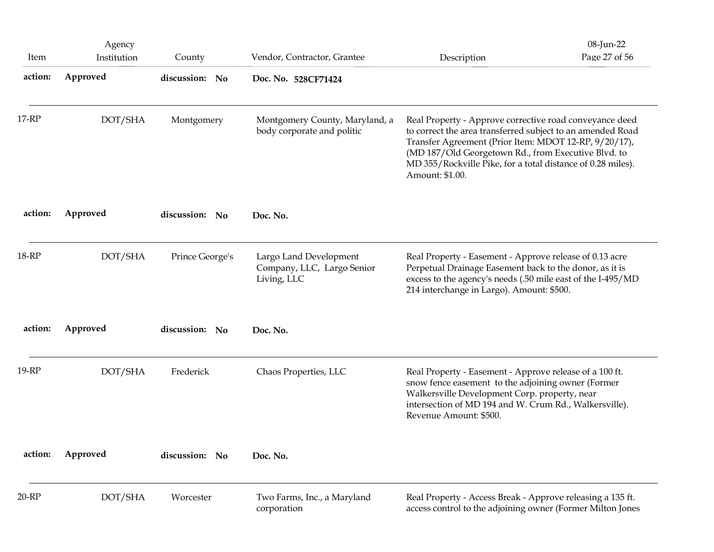| Item      | Agency<br>Institution | County          | Vendor, Contractor, Grantee                                         | Description                                                                                                                                                                                                                                                                                                             | 08-Jun-22<br>Page 27 of 56 |
|-----------|-----------------------|-----------------|---------------------------------------------------------------------|-------------------------------------------------------------------------------------------------------------------------------------------------------------------------------------------------------------------------------------------------------------------------------------------------------------------------|----------------------------|
| action:   | Approved              | discussion: No  | Doc. No. 528CF71424                                                 |                                                                                                                                                                                                                                                                                                                         |                            |
| $17 - RP$ | DOT/SHA               | Montgomery      | Montgomery County, Maryland, a<br>body corporate and politic        | Real Property - Approve corrective road conveyance deed<br>to correct the area transferred subject to an amended Road<br>Transfer Agreement (Prior Item: MDOT 12-RP, 9/20/17),<br>(MD 187/Old Georgetown Rd., from Executive Blvd. to<br>MD 355/Rockville Pike, for a total distance of 0.28 miles).<br>Amount: \$1.00. |                            |
| action:   | Approved              | discussion: No  | Doc. No.                                                            |                                                                                                                                                                                                                                                                                                                         |                            |
| 18-RP     | DOT/SHA               | Prince George's | Largo Land Development<br>Company, LLC, Largo Senior<br>Living, LLC | Real Property - Easement - Approve release of 0.13 acre<br>Perpetual Drainage Easement back to the donor, as it is<br>excess to the agency's needs (.50 mile east of the I-495/MD<br>214 interchange in Largo). Amount: \$500.                                                                                          |                            |
| action:   | Approved              | discussion: No  | Doc. No.                                                            |                                                                                                                                                                                                                                                                                                                         |                            |
| 19-RP     | DOT/SHA               | Frederick       | Chaos Properties, LLC                                               | Real Property - Easement - Approve release of a 100 ft.<br>snow fence easement to the adjoining owner (Former<br>Walkersville Development Corp. property, near<br>intersection of MD 194 and W. Crum Rd., Walkersville).<br>Revenue Amount: \$500.                                                                      |                            |
| action:   | Approved              | discussion: No  | Doc. No.                                                            |                                                                                                                                                                                                                                                                                                                         |                            |
| $20-RP$   | DOT/SHA               | Worcester       | Two Farms, Inc., a Maryland<br>corporation                          | Real Property - Access Break - Approve releasing a 135 ft.<br>access control to the adjoining owner (Former Milton Jones                                                                                                                                                                                                |                            |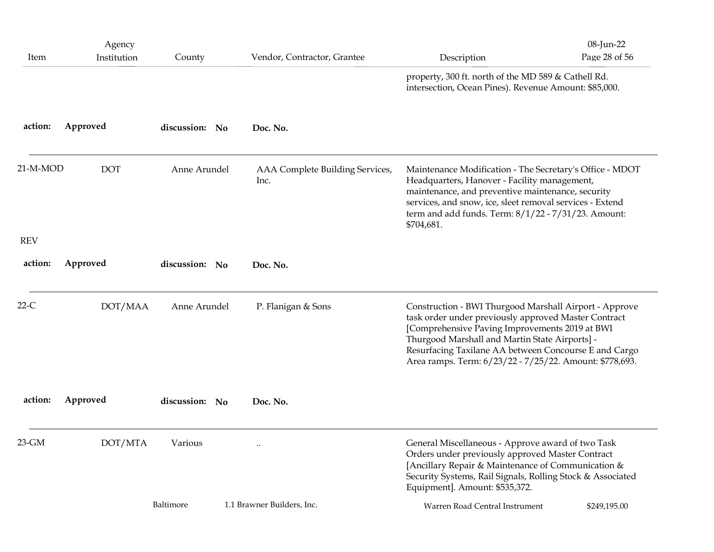| Item       | Agency<br>Institution | County         | Vendor, Contractor, Grantee             | Description                                                                                                                                                                                                                                                                                                                            | 08-Jun-22<br>Page 28 of 56 |
|------------|-----------------------|----------------|-----------------------------------------|----------------------------------------------------------------------------------------------------------------------------------------------------------------------------------------------------------------------------------------------------------------------------------------------------------------------------------------|----------------------------|
|            |                       |                |                                         | property, 300 ft. north of the MD 589 & Cathell Rd.<br>intersection, Ocean Pines). Revenue Amount: \$85,000.                                                                                                                                                                                                                           |                            |
| action:    | Approved              | discussion: No | Doc. No.                                |                                                                                                                                                                                                                                                                                                                                        |                            |
| 21-M-MOD   | <b>DOT</b>            | Anne Arundel   | AAA Complete Building Services,<br>Inc. | Maintenance Modification - The Secretary's Office - MDOT<br>Headquarters, Hanover - Facility management,<br>maintenance, and preventive maintenance, security<br>services, and snow, ice, sleet removal services - Extend<br>term and add funds. Term: $8/1/22 - 7/31/23$ . Amount:<br>\$704,681.                                      |                            |
| <b>REV</b> |                       |                |                                         |                                                                                                                                                                                                                                                                                                                                        |                            |
| action:    | Approved              | discussion: No | Doc. No.                                |                                                                                                                                                                                                                                                                                                                                        |                            |
| $22-C$     | DOT/MAA               | Anne Arundel   | P. Flanigan & Sons                      | Construction - BWI Thurgood Marshall Airport - Approve<br>task order under previously approved Master Contract<br>[Comprehensive Paving Improvements 2019 at BWI<br>Thurgood Marshall and Martin State Airports] -<br>Resurfacing Taxilane AA between Concourse E and Cargo<br>Area ramps. Term: 6/23/22 - 7/25/22. Amount: \$778,693. |                            |
| action:    | Approved              | discussion: No | Doc. No.                                |                                                                                                                                                                                                                                                                                                                                        |                            |
| 23-GM      | DOT/MTA               | Various        |                                         | General Miscellaneous - Approve award of two Task<br>Orders under previously approved Master Contract<br>[Ancillary Repair & Maintenance of Communication &<br>Security Systems, Rail Signals, Rolling Stock & Associated<br>Equipment]. Amount: \$535,372.                                                                            |                            |
|            |                       | Baltimore      | 1.1 Brawner Builders, Inc.              | Warren Road Central Instrument                                                                                                                                                                                                                                                                                                         | \$249,195.00               |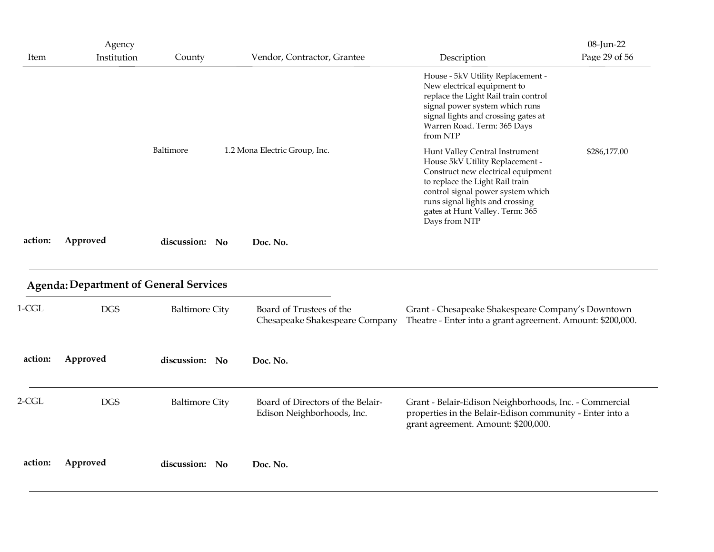| Item           | Agency<br>Institution                         | County                | Vendor, Contractor, Grantee                                     | Description                                                                                                                                                                                                                                                            | 08-Jun-22<br>Page 29 of 56 |
|----------------|-----------------------------------------------|-----------------------|-----------------------------------------------------------------|------------------------------------------------------------------------------------------------------------------------------------------------------------------------------------------------------------------------------------------------------------------------|----------------------------|
|                |                                               |                       |                                                                 | House - 5kV Utility Replacement -<br>New electrical equipment to<br>replace the Light Rail train control<br>signal power system which runs<br>signal lights and crossing gates at<br>Warren Road. Term: 365 Days<br>from NTP                                           |                            |
|                |                                               | Baltimore             | 1.2 Mona Electric Group, Inc.                                   | Hunt Valley Central Instrument<br>House 5kV Utility Replacement -<br>Construct new electrical equipment<br>to replace the Light Rail train<br>control signal power system which<br>runs signal lights and crossing<br>gates at Hunt Valley. Term: 365<br>Days from NTP | \$286,177.00               |
| action:        | Approved                                      | discussion: No        | Doc. No.                                                        |                                                                                                                                                                                                                                                                        |                            |
|                |                                               |                       |                                                                 |                                                                                                                                                                                                                                                                        |                            |
|                | <b>Agenda: Department of General Services</b> |                       |                                                                 |                                                                                                                                                                                                                                                                        |                            |
|                | <b>DGS</b>                                    | <b>Baltimore City</b> | Board of Trustees of the<br>Chesapeake Shakespeare Company      | Grant - Chesapeake Shakespeare Company's Downtown<br>Theatre - Enter into a grant agreement. Amount: \$200,000.                                                                                                                                                        |                            |
| action:        | Approved                                      | discussion: No        | Doc. No.                                                        |                                                                                                                                                                                                                                                                        |                            |
| 1-CGL<br>2-CGL | <b>DGS</b>                                    | <b>Baltimore City</b> | Board of Directors of the Belair-<br>Edison Neighborhoods, Inc. | Grant - Belair-Edison Neighborhoods, Inc. - Commercial<br>properties in the Belair-Edison community - Enter into a<br>grant agreement. Amount: \$200,000.                                                                                                              |                            |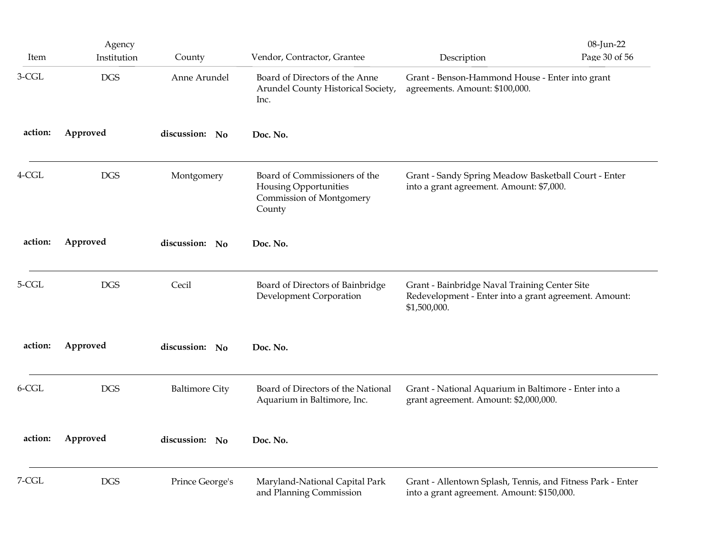| Item     | Agency<br>Institution | County                | Vendor, Contractor, Grantee                                                                         | Description                                                                                                            | 08-Jun-22<br>Page 30 of 56 |
|----------|-----------------------|-----------------------|-----------------------------------------------------------------------------------------------------|------------------------------------------------------------------------------------------------------------------------|----------------------------|
| $3-CGL$  | $_{\rm DGS}$          | Anne Arundel          | Board of Directors of the Anne<br>Arundel County Historical Society,<br>Inc.                        | Grant - Benson-Hammond House - Enter into grant<br>agreements. Amount: \$100,000.                                      |                            |
| action:  | Approved              | discussion: No        | Doc. No.                                                                                            |                                                                                                                        |                            |
| $4$ -CGL | $_{\rm DGS}$          | Montgomery            | Board of Commissioners of the<br>Housing Opportunities<br><b>Commission of Montgomery</b><br>County | Grant - Sandy Spring Meadow Basketball Court - Enter<br>into a grant agreement. Amount: \$7,000.                       |                            |
| action:  | Approved              | discussion: No        | Doc. No.                                                                                            |                                                                                                                        |                            |
| 5-CGL    | $_{\rm DGS}$          | Cecil                 | Board of Directors of Bainbridge<br>Development Corporation                                         | Grant - Bainbridge Naval Training Center Site<br>Redevelopment - Enter into a grant agreement. Amount:<br>\$1,500,000. |                            |
| action:  | Approved              | discussion: No        | Doc. No.                                                                                            |                                                                                                                        |                            |
| $6$ -CGL | $\rm{DGS}$            | <b>Baltimore City</b> | Board of Directors of the National<br>Aquarium in Baltimore, Inc.                                   | Grant - National Aquarium in Baltimore - Enter into a<br>grant agreement. Amount: \$2,000,000.                         |                            |
| action:  | Approved              | discussion: No        | Doc. No.                                                                                            |                                                                                                                        |                            |
| 7-CGL    | $_{\rm DGS}$          | Prince George's       | Maryland-National Capital Park<br>and Planning Commission                                           | Grant - Allentown Splash, Tennis, and Fitness Park - Enter<br>into a grant agreement. Amount: \$150,000.               |                            |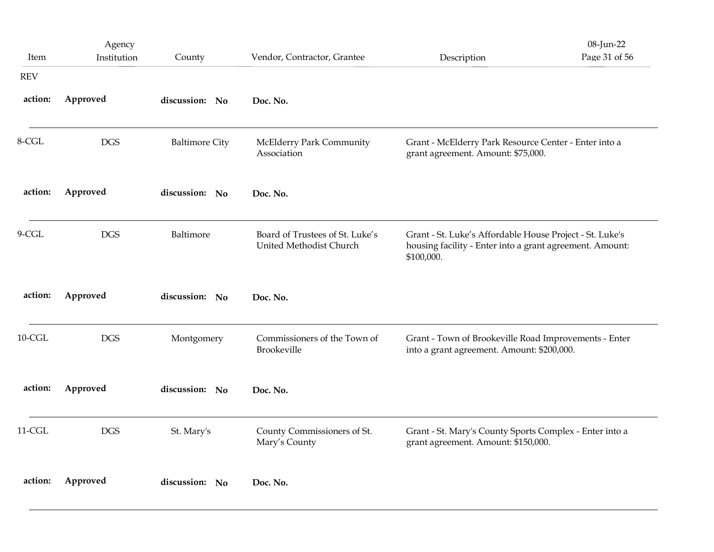| Item       | Agency<br>Institution | County                | Vendor, Contractor, Grantee                                | Description                                                                                                                        | 08-Jun-22<br>Page 31 of 56 |  |
|------------|-----------------------|-----------------------|------------------------------------------------------------|------------------------------------------------------------------------------------------------------------------------------------|----------------------------|--|
| <b>REV</b> |                       |                       |                                                            |                                                                                                                                    |                            |  |
| action:    | Approved              | discussion: No        | Doc. No.                                                   |                                                                                                                                    |                            |  |
| $8-CGL$    | <b>DGS</b>            | <b>Baltimore City</b> | McElderry Park Community<br>Association                    | Grant - McElderry Park Resource Center - Enter into a<br>grant agreement. Amount: \$75,000.                                        |                            |  |
| action:    | Approved              | discussion: No        | Doc. No.                                                   |                                                                                                                                    |                            |  |
| $9-CGL$    | <b>DGS</b>            | Baltimore             | Board of Trustees of St. Luke's<br>United Methodist Church | Grant - St. Luke's Affordable House Project - St. Luke's<br>housing facility - Enter into a grant agreement. Amount:<br>\$100,000. |                            |  |
| action:    | Approved              | discussion: No        | Doc. No.                                                   |                                                                                                                                    |                            |  |
| $10$ -CGL  | $\rm{DGS}$            | Montgomery            | Commissioners of the Town of<br>Brookeville                | Grant - Town of Brookeville Road Improvements - Enter<br>into a grant agreement. Amount: \$200,000.                                |                            |  |
| action:    | Approved              | discussion: No        | Doc. No.                                                   |                                                                                                                                    |                            |  |
| $11$ -CGL  | <b>DGS</b>            | St. Mary's            | County Commissioners of St.<br>Mary's County               | Grant - St. Mary's County Sports Complex - Enter into a<br>grant agreement. Amount: \$150,000.                                     |                            |  |
| action:    | Approved              | discussion: No        | Doc. No.                                                   |                                                                                                                                    |                            |  |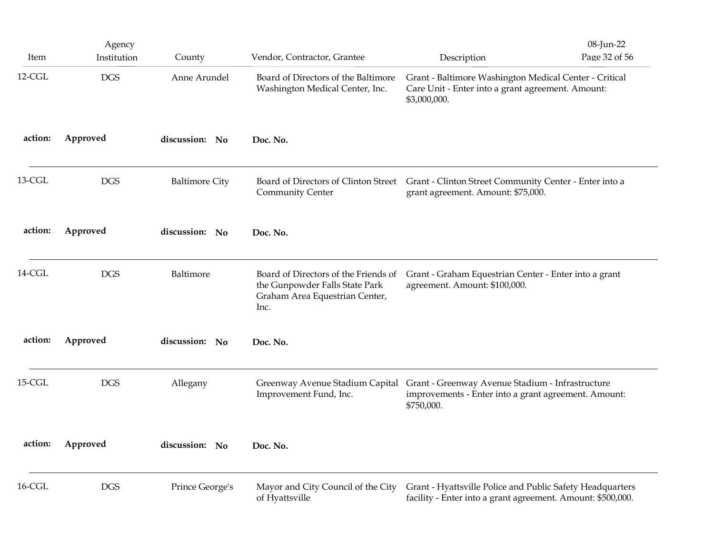| Item      | Agency<br>Institution | County                | Vendor, Contractor, Grantee                                                                                      | Description                                                                                                                 | 08-Jun-22<br>Page 32 of 56 |
|-----------|-----------------------|-----------------------|------------------------------------------------------------------------------------------------------------------|-----------------------------------------------------------------------------------------------------------------------------|----------------------------|
| $12$ -CGL | <b>DGS</b>            | Anne Arundel          | Board of Directors of the Baltimore<br>Washington Medical Center, Inc.                                           | Grant - Baltimore Washington Medical Center - Critical<br>Care Unit - Enter into a grant agreement. Amount:<br>\$3,000,000. |                            |
| action:   | Approved              | discussion: No        | Doc. No.                                                                                                         |                                                                                                                             |                            |
| 13-CGL    | <b>DGS</b>            | <b>Baltimore City</b> | Board of Directors of Clinton Street<br><b>Community Center</b>                                                  | Grant - Clinton Street Community Center - Enter into a<br>grant agreement. Amount: \$75,000.                                |                            |
| action:   | Approved              | discussion: No        | Doc. No.                                                                                                         |                                                                                                                             |                            |
| $14$ -CGL | <b>DGS</b>            | Baltimore             | Board of Directors of the Friends of<br>the Gunpowder Falls State Park<br>Graham Area Equestrian Center,<br>Inc. | Grant - Graham Equestrian Center - Enter into a grant<br>agreement. Amount: \$100,000.                                      |                            |
| action:   | Approved              | discussion: No        | Doc. No.                                                                                                         |                                                                                                                             |                            |
| $15-CGL$  | $\rm{DGS}$            | Allegany              | Greenway Avenue Stadium Capital<br>Improvement Fund, Inc.                                                        | Grant - Greenway Avenue Stadium - Infrastructure<br>improvements - Enter into a grant agreement. Amount:<br>\$750,000.      |                            |
| action:   | Approved              | discussion: No        | Doc. No.                                                                                                         |                                                                                                                             |                            |
| $16$ -CGL | <b>DGS</b>            | Prince George's       | Mayor and City Council of the City<br>of Hyattsville                                                             | Grant - Hyattsville Police and Public Safety Headquarters<br>facility - Enter into a grant agreement. Amount: \$500,000.    |                            |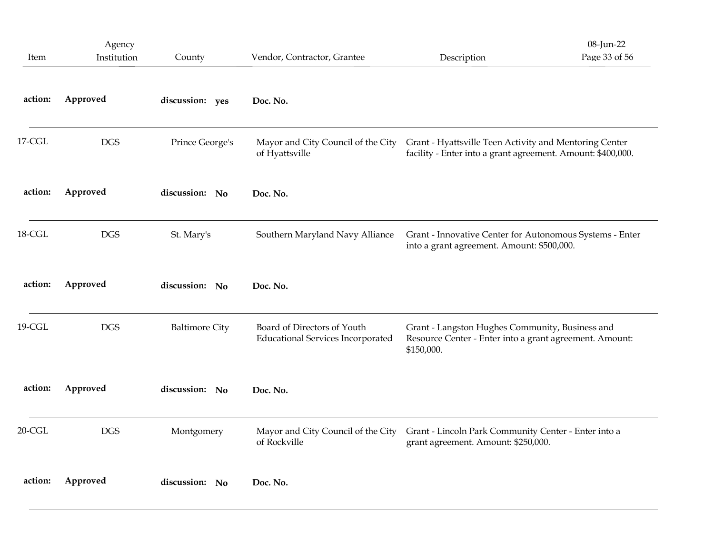|           | Agency      |                       |                                                                         |                                                                                                                          | 08-Jun-22     |
|-----------|-------------|-----------------------|-------------------------------------------------------------------------|--------------------------------------------------------------------------------------------------------------------------|---------------|
| Item      | Institution | County                | Vendor, Contractor, Grantee                                             | Description                                                                                                              | Page 33 of 56 |
| action:   | Approved    | discussion: yes       | Doc. No.                                                                |                                                                                                                          |               |
| $17$ -CGL | <b>DGS</b>  | Prince George's       | Mayor and City Council of the City<br>of Hyattsville                    | Grant - Hyattsville Teen Activity and Mentoring Center<br>facility - Enter into a grant agreement. Amount: \$400,000.    |               |
| action:   | Approved    | discussion: No        | Doc. No.                                                                |                                                                                                                          |               |
| 18-CGL    | <b>DGS</b>  | St. Mary's            | Southern Maryland Navy Alliance                                         | Grant - Innovative Center for Autonomous Systems - Enter<br>into a grant agreement. Amount: \$500,000.                   |               |
| action:   | Approved    | discussion: No        | Doc. No.                                                                |                                                                                                                          |               |
| 19-CGL    | <b>DGS</b>  | <b>Baltimore City</b> | Board of Directors of Youth<br><b>Educational Services Incorporated</b> | Grant - Langston Hughes Community, Business and<br>Resource Center - Enter into a grant agreement. Amount:<br>\$150,000. |               |
| action:   | Approved    | discussion: No        | Doc. No.                                                                |                                                                                                                          |               |
| $20$ -CGL | <b>DGS</b>  | Montgomery            | Mayor and City Council of the City<br>of Rockville                      | Grant - Lincoln Park Community Center - Enter into a<br>grant agreement. Amount: \$250,000.                              |               |
| action:   | Approved    | discussion: No        | Doc. No.                                                                |                                                                                                                          |               |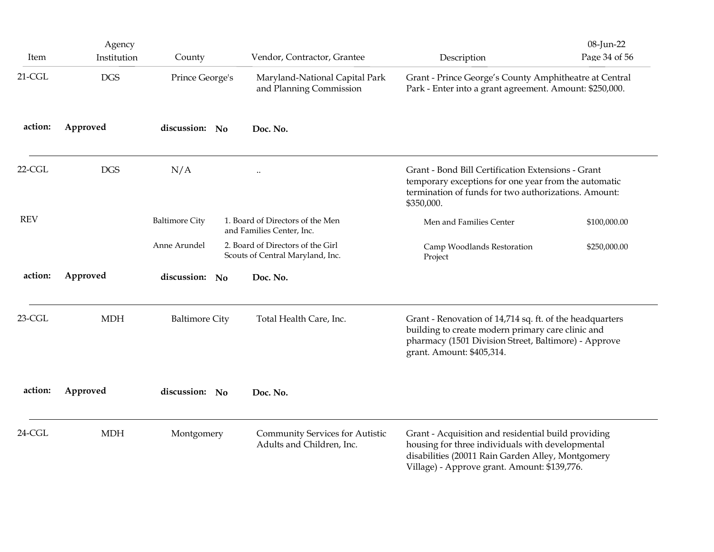| Item       | Agency<br>Institution | County                | Vendor, Contractor, Grantee                                           | Description                                                                                                                                                                                                  | 08-Jun-22<br>Page 34 of 56 |
|------------|-----------------------|-----------------------|-----------------------------------------------------------------------|--------------------------------------------------------------------------------------------------------------------------------------------------------------------------------------------------------------|----------------------------|
| $21$ -CGL  | <b>DGS</b>            | Prince George's       | Maryland-National Capital Park<br>and Planning Commission             | Grant - Prince George's County Amphitheatre at Central<br>Park - Enter into a grant agreement. Amount: \$250,000.                                                                                            |                            |
| action:    | Approved              | discussion: No        | Doc. No.                                                              |                                                                                                                                                                                                              |                            |
| $22$ -CGL  | <b>DGS</b>            | N/A                   | $\ldots$                                                              | Grant - Bond Bill Certification Extensions - Grant<br>temporary exceptions for one year from the automatic<br>termination of funds for two authorizations. Amount:<br>\$350,000.                             |                            |
| <b>REV</b> |                       | <b>Baltimore City</b> | 1. Board of Directors of the Men<br>and Families Center, Inc.         | Men and Families Center                                                                                                                                                                                      | \$100,000.00               |
|            |                       | Anne Arundel          | 2. Board of Directors of the Girl<br>Scouts of Central Maryland, Inc. | Camp Woodlands Restoration<br>Project                                                                                                                                                                        | \$250,000.00               |
| action:    | Approved              | discussion: No        | Doc. No.                                                              |                                                                                                                                                                                                              |                            |
| $23$ -CGL  | <b>MDH</b>            | <b>Baltimore City</b> | Total Health Care, Inc.                                               | Grant - Renovation of 14,714 sq. ft. of the headquarters<br>building to create modern primary care clinic and<br>pharmacy (1501 Division Street, Baltimore) - Approve<br>grant. Amount: \$405,314.           |                            |
| action:    | Approved              | discussion: No        | Doc. No.                                                              |                                                                                                                                                                                                              |                            |
| $24$ -CGL  | <b>MDH</b>            | Montgomery            | Community Services for Autistic<br>Adults and Children, Inc.          | Grant - Acquisition and residential build providing<br>housing for three individuals with developmental<br>disabilities (20011 Rain Garden Alley, Montgomery<br>Village) - Approve grant. Amount: \$139,776. |                            |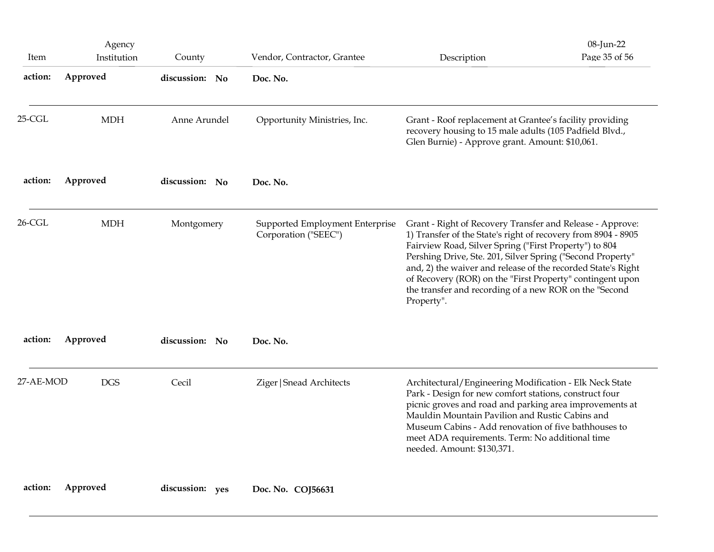| Item      | Agency<br>Institution | County          | Vendor, Contractor, Grantee                             | Description                                                                                                                                                                                                                                                                                                                                                                                                                                             | 08-Jun-22<br>Page 35 of 56 |
|-----------|-----------------------|-----------------|---------------------------------------------------------|---------------------------------------------------------------------------------------------------------------------------------------------------------------------------------------------------------------------------------------------------------------------------------------------------------------------------------------------------------------------------------------------------------------------------------------------------------|----------------------------|
| action:   | Approved              | discussion: No  | Doc. No.                                                |                                                                                                                                                                                                                                                                                                                                                                                                                                                         |                            |
| $25-CGL$  | <b>MDH</b>            | Anne Arundel    | Opportunity Ministries, Inc.                            | Grant - Roof replacement at Grantee's facility providing<br>recovery housing to 15 male adults (105 Padfield Blvd.,<br>Glen Burnie) - Approve grant. Amount: \$10,061.                                                                                                                                                                                                                                                                                  |                            |
| action:   | Approved              | discussion: No  | Doc. No.                                                |                                                                                                                                                                                                                                                                                                                                                                                                                                                         |                            |
| $26$ -CGL | MDH                   | Montgomery      | Supported Employment Enterprise<br>Corporation ("SEEC") | Grant - Right of Recovery Transfer and Release - Approve:<br>1) Transfer of the State's right of recovery from 8904 - 8905<br>Fairview Road, Silver Spring ("First Property") to 804<br>Pershing Drive, Ste. 201, Silver Spring ("Second Property"<br>and, 2) the waiver and release of the recorded State's Right<br>of Recovery (ROR) on the "First Property" contingent upon<br>the transfer and recording of a new ROR on the "Second<br>Property". |                            |
| action:   | Approved              | discussion: No  | Doc. No.                                                |                                                                                                                                                                                                                                                                                                                                                                                                                                                         |                            |
| 27-AE-MOD | <b>DGS</b>            | Cecil           | Ziger   Snead Architects                                | Architectural/Engineering Modification - Elk Neck State<br>Park - Design for new comfort stations, construct four<br>picnic groves and road and parking area improvements at<br>Mauldin Mountain Pavilion and Rustic Cabins and<br>Museum Cabins - Add renovation of five bathhouses to<br>meet ADA requirements. Term: No additional time<br>needed. Amount: \$130,371.                                                                                |                            |
| action:   | Approved              | discussion: yes | Doc. No. COJ56631                                       |                                                                                                                                                                                                                                                                                                                                                                                                                                                         |                            |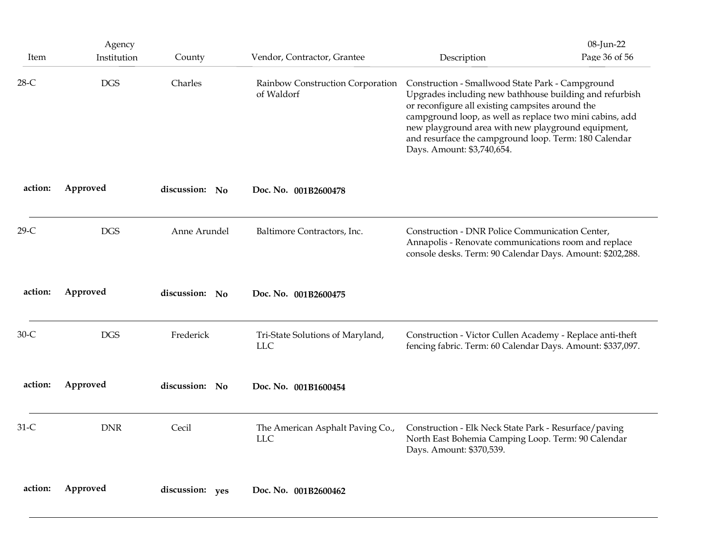| Item    | Agency<br>Institution | County          | Vendor, Contractor, Grantee                    | Description                                                                                                                                                                                                                                                                                                                                                              | 08-Jun-22<br>Page 36 of 56 |
|---------|-----------------------|-----------------|------------------------------------------------|--------------------------------------------------------------------------------------------------------------------------------------------------------------------------------------------------------------------------------------------------------------------------------------------------------------------------------------------------------------------------|----------------------------|
| $28-C$  | <b>DGS</b>            | Charles         | Rainbow Construction Corporation<br>of Waldorf | Construction - Smallwood State Park - Campground<br>Upgrades including new bathhouse building and refurbish<br>or reconfigure all existing campsites around the<br>campground loop, as well as replace two mini cabins, add<br>new playground area with new playground equipment,<br>and resurface the campground loop. Term: 180 Calendar<br>Days. Amount: \$3,740,654. |                            |
| action: | Approved              | discussion: No  | Doc. No. 001B2600478                           |                                                                                                                                                                                                                                                                                                                                                                          |                            |
| $29-C$  | <b>DGS</b>            | Anne Arundel    | Baltimore Contractors, Inc.                    | Construction - DNR Police Communication Center,<br>Annapolis - Renovate communications room and replace<br>console desks. Term: 90 Calendar Days. Amount: \$202,288.                                                                                                                                                                                                     |                            |
| action: | Approved              | discussion: No  | Doc. No. 001B2600475                           |                                                                                                                                                                                                                                                                                                                                                                          |                            |
| $30-C$  | <b>DGS</b>            | Frederick       | Tri-State Solutions of Maryland,<br><b>LLC</b> | Construction - Victor Cullen Academy - Replace anti-theft<br>fencing fabric. Term: 60 Calendar Days. Amount: \$337,097.                                                                                                                                                                                                                                                  |                            |
| action: | Approved              | discussion: No  | Doc. No. 001B1600454                           |                                                                                                                                                                                                                                                                                                                                                                          |                            |
| $31-C$  | <b>DNR</b>            | Cecil           | The American Asphalt Paving Co.,<br><b>LLC</b> | Construction - Elk Neck State Park - Resurface/paving<br>North East Bohemia Camping Loop. Term: 90 Calendar<br>Days. Amount: \$370,539.                                                                                                                                                                                                                                  |                            |
| action: | Approved              | discussion: yes | Doc. No. 001B2600462                           |                                                                                                                                                                                                                                                                                                                                                                          |                            |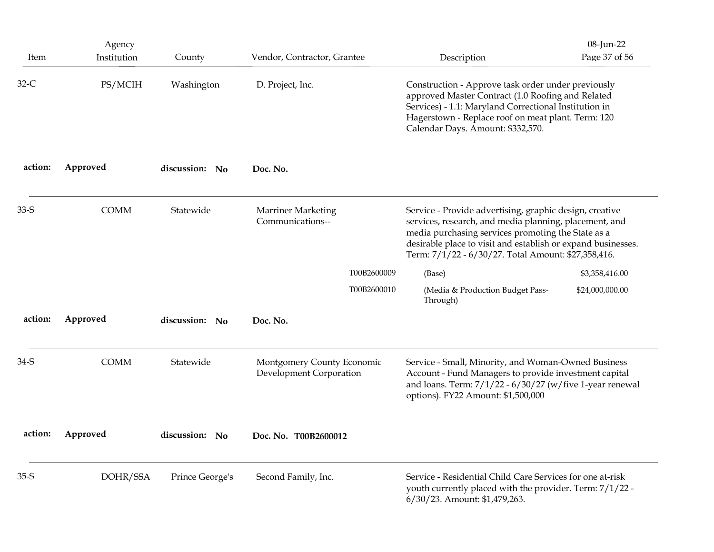| Item    | Agency<br>Institution | County          | Vendor, Contractor, Grantee                           | Description                                                                                                                                                                                                                                                                                    | 08-Jun-22<br>Page 37 of 56 |
|---------|-----------------------|-----------------|-------------------------------------------------------|------------------------------------------------------------------------------------------------------------------------------------------------------------------------------------------------------------------------------------------------------------------------------------------------|----------------------------|
| $32-C$  | PS/MCIH               | Washington      | D. Project, Inc.                                      | Construction - Approve task order under previously<br>approved Master Contract (1.0 Roofing and Related<br>Services) - 1.1: Maryland Correctional Institution in<br>Hagerstown - Replace roof on meat plant. Term: 120<br>Calendar Days. Amount: \$332,570.                                    |                            |
| action: | Approved              | discussion: No  | Doc. No.                                              |                                                                                                                                                                                                                                                                                                |                            |
| $33-S$  | <b>COMM</b>           | Statewide       | Marriner Marketing<br>Communications--                | Service - Provide advertising, graphic design, creative<br>services, research, and media planning, placement, and<br>media purchasing services promoting the State as a<br>desirable place to visit and establish or expand businesses.<br>Term: 7/1/22 - 6/30/27. Total Amount: \$27,358,416. |                            |
|         |                       |                 | T00B2600009                                           | (Base)                                                                                                                                                                                                                                                                                         | \$3,358,416.00             |
|         |                       |                 | T00B2600010                                           | (Media & Production Budget Pass-<br>Through)                                                                                                                                                                                                                                                   | \$24,000,000.00            |
| action: | Approved              | discussion: No  | Doc. No.                                              |                                                                                                                                                                                                                                                                                                |                            |
| $34-S$  | COMM                  | Statewide       | Montgomery County Economic<br>Development Corporation | Service - Small, Minority, and Woman-Owned Business<br>Account - Fund Managers to provide investment capital<br>and loans. Term: $7/1/22$ - $6/30/27$ (w/five 1-year renewal<br>options). FY22 Amount: \$1,500,000                                                                             |                            |
| action: | Approved              | discussion: No  | Doc. No. T00B2600012                                  |                                                                                                                                                                                                                                                                                                |                            |
| $35-S$  | DOHR/SSA              | Prince George's | Second Family, Inc.                                   | Service - Residential Child Care Services for one at-risk<br>youth currently placed with the provider. Term: 7/1/22 -<br>6/30/23. Amount: \$1,479,263.                                                                                                                                         |                            |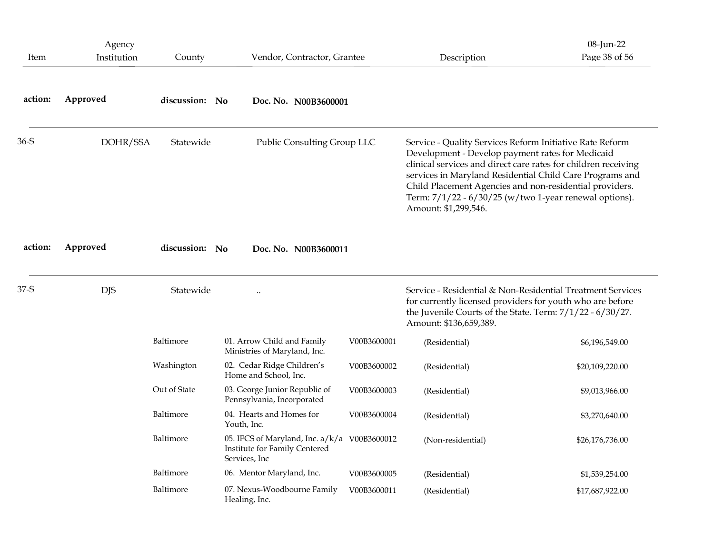| Item    | Agency<br>Institution | County         | Vendor, Contractor, Grantee                                                                                   |             | Description                                                                                                                                                                                                                                                                                                                                                                             | 08-Jun-22<br>Page 38 of 56 |
|---------|-----------------------|----------------|---------------------------------------------------------------------------------------------------------------|-------------|-----------------------------------------------------------------------------------------------------------------------------------------------------------------------------------------------------------------------------------------------------------------------------------------------------------------------------------------------------------------------------------------|----------------------------|
| action: | Approved              | discussion: No | Doc. No. N00B3600001                                                                                          |             |                                                                                                                                                                                                                                                                                                                                                                                         |                            |
| 36-S    | DOHR/SSA              | Statewide      | Public Consulting Group LLC                                                                                   |             | Service - Quality Services Reform Initiative Rate Reform<br>Development - Develop payment rates for Medicaid<br>clinical services and direct care rates for children receiving<br>services in Maryland Residential Child Care Programs and<br>Child Placement Agencies and non-residential providers.<br>Term: 7/1/22 - 6/30/25 (w/two 1-year renewal options).<br>Amount: \$1,299,546. |                            |
|         |                       |                |                                                                                                               |             |                                                                                                                                                                                                                                                                                                                                                                                         |                            |
| action: | Approved              | discussion: No | Doc. No. N00B3600011                                                                                          |             |                                                                                                                                                                                                                                                                                                                                                                                         |                            |
| 37-S    | <b>DJS</b>            | Statewide      | $\cdot\cdot$                                                                                                  |             | Service - Residential & Non-Residential Treatment Services<br>for currently licensed providers for youth who are before<br>the Juvenile Courts of the State. Term: $7/1/22 - 6/30/27$ .<br>Amount: \$136,659,389.                                                                                                                                                                       |                            |
|         |                       | Baltimore      | 01. Arrow Child and Family<br>Ministries of Maryland, Inc.                                                    | V00B3600001 | (Residential)                                                                                                                                                                                                                                                                                                                                                                           | \$6,196,549.00             |
|         |                       | Washington     | 02. Cedar Ridge Children's<br>Home and School, Inc.                                                           | V00B3600002 | (Residential)                                                                                                                                                                                                                                                                                                                                                                           | \$20,109,220.00            |
|         |                       | Out of State   | 03. George Junior Republic of                                                                                 | V00B3600003 | (Residential)                                                                                                                                                                                                                                                                                                                                                                           | \$9,013,966.00             |
|         |                       | Baltimore      | Pennsylvania, Incorporated<br>04. Hearts and Homes for                                                        | V00B3600004 | (Residential)                                                                                                                                                                                                                                                                                                                                                                           | \$3,270,640.00             |
|         |                       | Baltimore      | Youth, Inc.<br>05. IFCS of Maryland, Inc. a/k/a V00B3600012<br>Institute for Family Centered<br>Services, Inc |             | (Non-residential)                                                                                                                                                                                                                                                                                                                                                                       | \$26,176,736.00            |
|         |                       | Baltimore      | 06. Mentor Maryland, Inc.                                                                                     | V00B3600005 | (Residential)                                                                                                                                                                                                                                                                                                                                                                           | \$1,539,254.00             |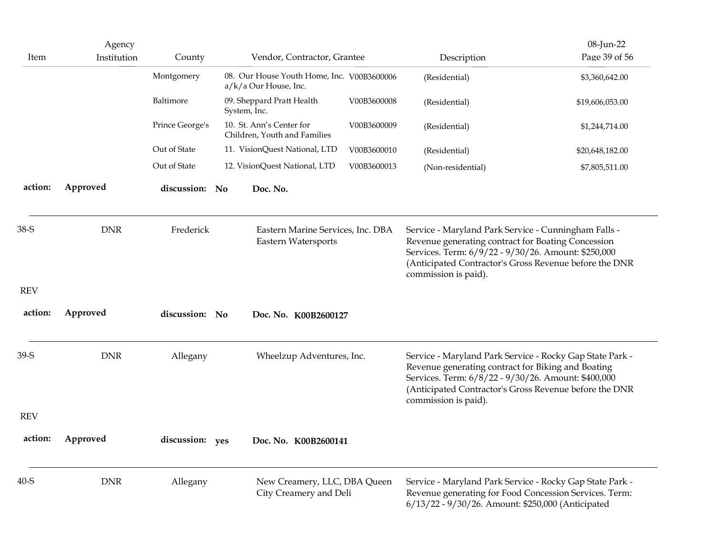|            | Agency      |                 |              |                                                                     |             |                                                                                                                                                                                                                                                         | 08-Jun-22       |
|------------|-------------|-----------------|--------------|---------------------------------------------------------------------|-------------|---------------------------------------------------------------------------------------------------------------------------------------------------------------------------------------------------------------------------------------------------------|-----------------|
| Item       | Institution | County          |              | Vendor, Contractor, Grantee                                         |             | Description                                                                                                                                                                                                                                             | Page 39 of 56   |
|            |             | Montgomery      |              | 08. Our House Youth Home, Inc. V00B3600006<br>a/k/a Our House, Inc. |             | (Residential)                                                                                                                                                                                                                                           | \$3,360,642.00  |
|            |             | Baltimore       | System, Inc. | 09. Sheppard Pratt Health                                           | V00B3600008 | (Residential)                                                                                                                                                                                                                                           | \$19,606,053.00 |
|            |             | Prince George's |              | 10. St. Ann's Center for<br>Children, Youth and Families            | V00B3600009 | (Residential)                                                                                                                                                                                                                                           | \$1,244,714.00  |
|            |             | Out of State    |              | 11. VisionQuest National, LTD                                       | V00B3600010 | (Residential)                                                                                                                                                                                                                                           | \$20,648,182.00 |
|            |             | Out of State    |              | 12. VisionQuest National, LTD                                       | V00B3600013 | (Non-residential)                                                                                                                                                                                                                                       | \$7,805,511.00  |
| action:    | Approved    | discussion: No  |              | Doc. No.                                                            |             |                                                                                                                                                                                                                                                         |                 |
| $38-S$     | <b>DNR</b>  | Frederick       |              | Eastern Marine Services, Inc. DBA<br>Eastern Watersports            |             | Service - Maryland Park Service - Cunningham Falls -<br>Revenue generating contract for Boating Concession<br>Services. Term: 6/9/22 - 9/30/26. Amount: \$250,000<br>(Anticipated Contractor's Gross Revenue before the DNR<br>commission is paid).     |                 |
| <b>REV</b> |             |                 |              |                                                                     |             |                                                                                                                                                                                                                                                         |                 |
| action:    | Approved    | discussion: No  |              | Doc. No. K00B2600127                                                |             |                                                                                                                                                                                                                                                         |                 |
| 39-S       | <b>DNR</b>  | Allegany        |              | Wheelzup Adventures, Inc.                                           |             | Service - Maryland Park Service - Rocky Gap State Park -<br>Revenue generating contract for Biking and Boating<br>Services. Term: 6/8/22 - 9/30/26. Amount: \$400,000<br>(Anticipated Contractor's Gross Revenue before the DNR<br>commission is paid). |                 |
| <b>REV</b> |             |                 |              |                                                                     |             |                                                                                                                                                                                                                                                         |                 |
| action:    | Approved    | discussion: yes |              | Doc. No. K00B2600141                                                |             |                                                                                                                                                                                                                                                         |                 |
| $40-S$     | <b>DNR</b>  | Allegany        |              | New Creamery, LLC, DBA Queen<br>City Creamery and Deli              |             | Service - Maryland Park Service - Rocky Gap State Park -<br>Revenue generating for Food Concession Services. Term:                                                                                                                                      |                 |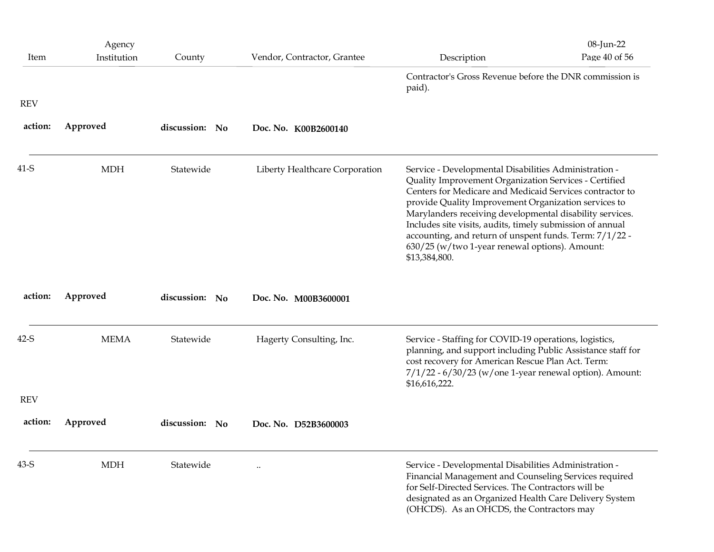| Item                  | Agency<br>Institution | County         | Vendor, Contractor, Grantee    | Description                                                                                                                                                                                                                                                                                                                                                                                                                                                                               | 08-Jun-22<br>Page 40 of 56 |
|-----------------------|-----------------------|----------------|--------------------------------|-------------------------------------------------------------------------------------------------------------------------------------------------------------------------------------------------------------------------------------------------------------------------------------------------------------------------------------------------------------------------------------------------------------------------------------------------------------------------------------------|----------------------------|
|                       |                       |                |                                | Contractor's Gross Revenue before the DNR commission is<br>paid).                                                                                                                                                                                                                                                                                                                                                                                                                         |                            |
| <b>REV</b><br>action: | Approved              | discussion: No | Doc. No. K00B2600140           |                                                                                                                                                                                                                                                                                                                                                                                                                                                                                           |                            |
| $41-S$                | <b>MDH</b>            | Statewide      | Liberty Healthcare Corporation | Service - Developmental Disabilities Administration -<br>Quality Improvement Organization Services - Certified<br>Centers for Medicare and Medicaid Services contractor to<br>provide Quality Improvement Organization services to<br>Marylanders receiving developmental disability services.<br>Includes site visits, audits, timely submission of annual<br>accounting, and return of unspent funds. Term: 7/1/22 -<br>630/25 (w/two 1-year renewal options). Amount:<br>\$13,384,800. |                            |
| action:               | Approved              | discussion: No | Doc. No. M00B3600001           |                                                                                                                                                                                                                                                                                                                                                                                                                                                                                           |                            |
| 42-S                  | <b>MEMA</b>           | Statewide      | Hagerty Consulting, Inc.       | Service - Staffing for COVID-19 operations, logistics,<br>planning, and support including Public Assistance staff for<br>cost recovery for American Rescue Plan Act. Term:<br>$7/1/22 - 6/30/23$ (w/one 1-year renewal option). Amount:<br>\$16,616,222.                                                                                                                                                                                                                                  |                            |
| <b>REV</b>            |                       |                |                                |                                                                                                                                                                                                                                                                                                                                                                                                                                                                                           |                            |
| action:               | Approved              | discussion: No | Doc. No. D52B3600003           |                                                                                                                                                                                                                                                                                                                                                                                                                                                                                           |                            |
| 43-S                  | <b>MDH</b>            | Statewide      | $\ddotsc$                      | Service - Developmental Disabilities Administration -<br>Financial Management and Counseling Services required<br>for Self-Directed Services. The Contractors will be<br>designated as an Organized Health Care Delivery System<br>(OHCDS). As an OHCDS, the Contractors may                                                                                                                                                                                                              |                            |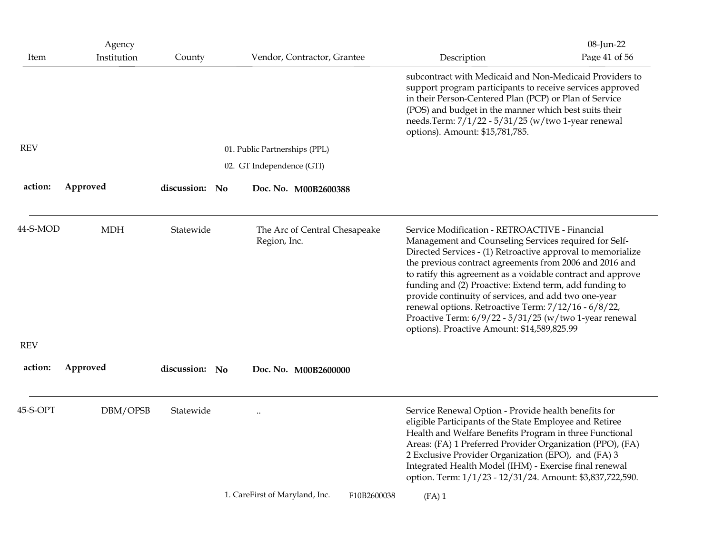| Item       | Agency      |                | Vendor, Contractor, Grantee                   |                                                                                                                                                                                                                                                                                                                                                                                                                                                                                                                                                                                     | 08-Jun-22<br>Page 41 of 56 |
|------------|-------------|----------------|-----------------------------------------------|-------------------------------------------------------------------------------------------------------------------------------------------------------------------------------------------------------------------------------------------------------------------------------------------------------------------------------------------------------------------------------------------------------------------------------------------------------------------------------------------------------------------------------------------------------------------------------------|----------------------------|
|            | Institution | County         |                                               | Description<br>subcontract with Medicaid and Non-Medicaid Providers to<br>support program participants to receive services approved<br>in their Person-Centered Plan (PCP) or Plan of Service<br>(POS) and budget in the manner which best suits their<br>needs.Term: 7/1/22 - 5/31/25 (w/two 1-year renewal<br>options). Amount: \$15,781,785.                                                                                                                                                                                                                                     |                            |
| <b>REV</b> |             |                | 01. Public Partnerships (PPL)                 |                                                                                                                                                                                                                                                                                                                                                                                                                                                                                                                                                                                     |                            |
|            |             |                | 02. GT Independence (GTI)                     |                                                                                                                                                                                                                                                                                                                                                                                                                                                                                                                                                                                     |                            |
| action:    | Approved    | discussion: No | Doc. No. M00B2600388                          |                                                                                                                                                                                                                                                                                                                                                                                                                                                                                                                                                                                     |                            |
| 44-S-MOD   | <b>MDH</b>  | Statewide      | The Arc of Central Chesapeake<br>Region, Inc. | Service Modification - RETROACTIVE - Financial<br>Management and Counseling Services required for Self-<br>Directed Services - (1) Retroactive approval to memorialize<br>the previous contract agreements from 2006 and 2016 and<br>to ratify this agreement as a voidable contract and approve<br>funding and (2) Proactive: Extend term, add funding to<br>provide continuity of services, and add two one-year<br>renewal options. Retroactive Term: 7/12/16 - 6/8/22,<br>Proactive Term: 6/9/22 - 5/31/25 (w/two 1-year renewal<br>options). Proactive Amount: \$14,589,825.99 |                            |
| <b>REV</b> |             |                |                                               |                                                                                                                                                                                                                                                                                                                                                                                                                                                                                                                                                                                     |                            |
| action:    | Approved    | discussion: No | Doc. No. M00B2600000                          |                                                                                                                                                                                                                                                                                                                                                                                                                                                                                                                                                                                     |                            |
| 45-S-OPT   | DBM/OPSB    | Statewide      | $\ddotsc$                                     | Service Renewal Option - Provide health benefits for<br>eligible Participants of the State Employee and Retiree<br>Health and Welfare Benefits Program in three Functional<br>Areas: (FA) 1 Preferred Provider Organization (PPO), (FA)<br>2 Exclusive Provider Organization (EPO), and (FA) 3<br>Integrated Health Model (IHM) - Exercise final renewal<br>option. Term: 1/1/23 - 12/31/24. Amount: \$3,837,722,590.                                                                                                                                                               |                            |
|            |             |                | 1. CareFirst of Maryland, Inc.<br>F10B2600038 | $(FA)$ 1                                                                                                                                                                                                                                                                                                                                                                                                                                                                                                                                                                            |                            |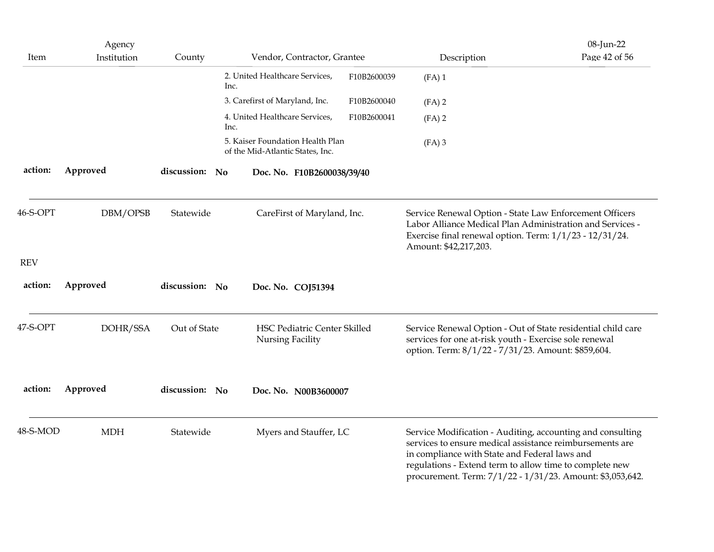|            | Agency      |                |      |                                                                      |             |                                                                                                                                                                                                                                                                                                 | 08-Jun-22     |
|------------|-------------|----------------|------|----------------------------------------------------------------------|-------------|-------------------------------------------------------------------------------------------------------------------------------------------------------------------------------------------------------------------------------------------------------------------------------------------------|---------------|
| Item       | Institution | County         |      | Vendor, Contractor, Grantee                                          |             | Description                                                                                                                                                                                                                                                                                     | Page 42 of 56 |
|            |             |                | Inc. | 2. United Healthcare Services,                                       | F10B2600039 | $(FA)$ 1                                                                                                                                                                                                                                                                                        |               |
|            |             |                |      | 3. Carefirst of Maryland, Inc.                                       | F10B2600040 | $(FA)$ 2                                                                                                                                                                                                                                                                                        |               |
|            |             |                | Inc. | 4. United Healthcare Services,                                       | F10B2600041 | $(FA)$ 2                                                                                                                                                                                                                                                                                        |               |
|            |             |                |      | 5. Kaiser Foundation Health Plan<br>of the Mid-Atlantic States, Inc. |             | $(FA)$ 3                                                                                                                                                                                                                                                                                        |               |
| action:    | Approved    | discussion: No |      | Doc. No. F10B2600038/39/40                                           |             |                                                                                                                                                                                                                                                                                                 |               |
| 46-S-OPT   | DBM/OPSB    | Statewide      |      | CareFirst of Maryland, Inc.                                          |             | Service Renewal Option - State Law Enforcement Officers<br>Labor Alliance Medical Plan Administration and Services -<br>Exercise final renewal option. Term: 1/1/23 - 12/31/24.<br>Amount: \$42,217,203.                                                                                        |               |
| <b>REV</b> |             |                |      |                                                                      |             |                                                                                                                                                                                                                                                                                                 |               |
| action:    | Approved    | discussion: No |      | Doc. No. COJ51394                                                    |             |                                                                                                                                                                                                                                                                                                 |               |
| 47-S-OPT   | DOHR/SSA    | Out of State   |      | HSC Pediatric Center Skilled<br>Nursing Facility                     |             | Service Renewal Option - Out of State residential child care<br>services for one at-risk youth - Exercise sole renewal<br>option. Term: 8/1/22 - 7/31/23. Amount: \$859,604.                                                                                                                    |               |
| action:    | Approved    | discussion: No |      | Doc. No. N00B3600007                                                 |             |                                                                                                                                                                                                                                                                                                 |               |
| 48-S-MOD   | <b>MDH</b>  | Statewide      |      | Myers and Stauffer, LC                                               |             | Service Modification - Auditing, accounting and consulting<br>services to ensure medical assistance reimbursements are<br>in compliance with State and Federal laws and<br>regulations - Extend term to allow time to complete new<br>procurement. Term: 7/1/22 - 1/31/23. Amount: \$3,053,642. |               |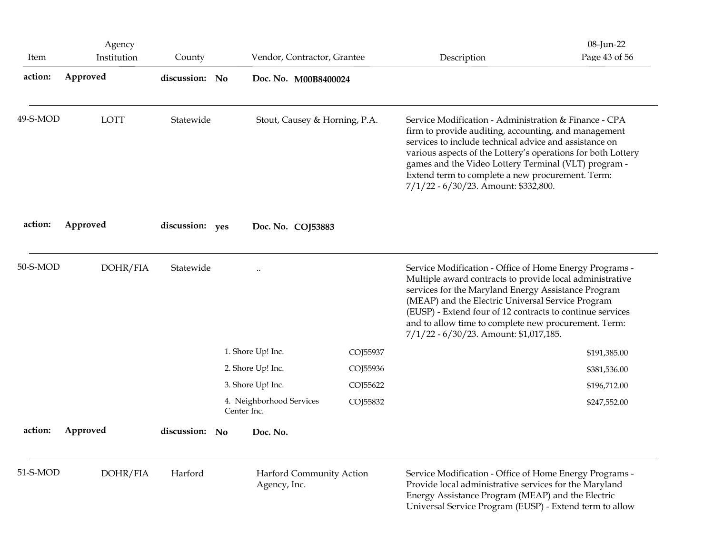| Item     | Agency<br>Institution | County          | Vendor, Contractor, Grantee             |          | Description                                                                                                                                                                                                                                                                                                                                                                                 | 08-Jun-22<br>Page 43 of 56 |
|----------|-----------------------|-----------------|-----------------------------------------|----------|---------------------------------------------------------------------------------------------------------------------------------------------------------------------------------------------------------------------------------------------------------------------------------------------------------------------------------------------------------------------------------------------|----------------------------|
| action:  | Approved              | discussion: No  | Doc. No. M00B8400024                    |          |                                                                                                                                                                                                                                                                                                                                                                                             |                            |
| 49-S-MOD | <b>LOTT</b>           | Statewide       | Stout, Causey & Horning, P.A.           |          | Service Modification - Administration & Finance - CPA<br>firm to provide auditing, accounting, and management<br>services to include technical advice and assistance on<br>various aspects of the Lottery's operations for both Lottery<br>games and the Video Lottery Terminal (VLT) program -<br>Extend term to complete a new procurement. Term:<br>7/1/22 - 6/30/23. Amount: \$332,800. |                            |
| action:  | Approved              | discussion: yes | Doc. No. COJ53883                       |          |                                                                                                                                                                                                                                                                                                                                                                                             |                            |
| 50-S-MOD | DOHR/FIA              | Statewide       | $\ddotsc$                               |          | Service Modification - Office of Home Energy Programs -<br>Multiple award contracts to provide local administrative<br>services for the Maryland Energy Assistance Program<br>(MEAP) and the Electric Universal Service Program<br>(EUSP) - Extend four of 12 contracts to continue services                                                                                                |                            |
|          |                       |                 |                                         |          | and to allow time to complete new procurement. Term:<br>7/1/22 - 6/30/23. Amount: \$1,017,185.                                                                                                                                                                                                                                                                                              |                            |
|          |                       |                 | 1. Shore Up! Inc.                       | COJ55937 |                                                                                                                                                                                                                                                                                                                                                                                             | \$191,385.00               |
|          |                       |                 | 2. Shore Up! Inc.                       | COJ55936 |                                                                                                                                                                                                                                                                                                                                                                                             | \$381,536.00               |
|          |                       |                 | 3. Shore Up! Inc.                       | COJ55622 |                                                                                                                                                                                                                                                                                                                                                                                             | \$196,712.00               |
|          |                       |                 | 4. Neighborhood Services<br>Center Inc. | COJ55832 |                                                                                                                                                                                                                                                                                                                                                                                             | \$247,552.00               |
| action:  | Approved              | discussion: No  | Doc. No.                                |          |                                                                                                                                                                                                                                                                                                                                                                                             |                            |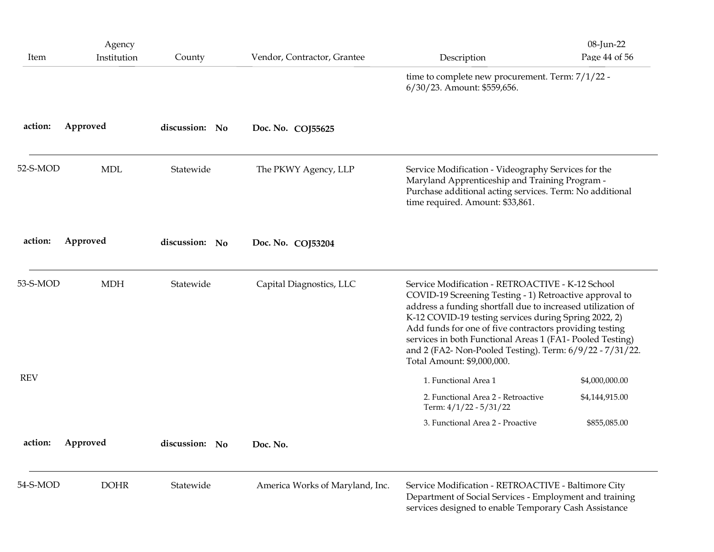| Item       | Agency<br>Institution | County         | Vendor, Contractor, Grantee     | Description                                                                                                                                                                                                                                                                                                                                                                                                                                           | 08-Jun-22<br>Page 44 of 56 |
|------------|-----------------------|----------------|---------------------------------|-------------------------------------------------------------------------------------------------------------------------------------------------------------------------------------------------------------------------------------------------------------------------------------------------------------------------------------------------------------------------------------------------------------------------------------------------------|----------------------------|
|            |                       |                |                                 | time to complete new procurement. Term: 7/1/22 -<br>6/30/23. Amount: \$559,656.                                                                                                                                                                                                                                                                                                                                                                       |                            |
| action:    | Approved              | discussion: No | Doc. No. COJ55625               |                                                                                                                                                                                                                                                                                                                                                                                                                                                       |                            |
| 52-S-MOD   | <b>MDL</b>            | Statewide      | The PKWY Agency, LLP            | Service Modification - Videography Services for the<br>Maryland Apprenticeship and Training Program -<br>Purchase additional acting services. Term: No additional<br>time required. Amount: \$33,861.                                                                                                                                                                                                                                                 |                            |
| action:    | Approved              | discussion: No | Doc. No. COJ53204               |                                                                                                                                                                                                                                                                                                                                                                                                                                                       |                            |
| 53-S-MOD   | <b>MDH</b>            | Statewide      | Capital Diagnostics, LLC        | Service Modification - RETROACTIVE - K-12 School<br>COVID-19 Screening Testing - 1) Retroactive approval to<br>address a funding shortfall due to increased utilization of<br>K-12 COVID-19 testing services during Spring 2022, 2)<br>Add funds for one of five contractors providing testing<br>services in both Functional Areas 1 (FA1- Pooled Testing)<br>and 2 (FA2- Non-Pooled Testing). Term: 6/9/22 - 7/31/22.<br>Total Amount: \$9,000,000. |                            |
| <b>REV</b> |                       |                |                                 | 1. Functional Area 1                                                                                                                                                                                                                                                                                                                                                                                                                                  | \$4,000,000.00             |
|            |                       |                |                                 | 2. Functional Area 2 - Retroactive<br>Term: $4/1/22 - 5/31/22$                                                                                                                                                                                                                                                                                                                                                                                        | \$4,144,915.00             |
|            |                       |                |                                 | 3. Functional Area 2 - Proactive                                                                                                                                                                                                                                                                                                                                                                                                                      | \$855,085.00               |
| action:    | Approved              | discussion: No | Doc. No.                        |                                                                                                                                                                                                                                                                                                                                                                                                                                                       |                            |
| 54-S-MOD   | <b>DOHR</b>           | Statewide      | America Works of Maryland, Inc. | Service Modification - RETROACTIVE - Baltimore City<br>Department of Social Services - Employment and training<br>services designed to enable Temporary Cash Assistance                                                                                                                                                                                                                                                                               |                            |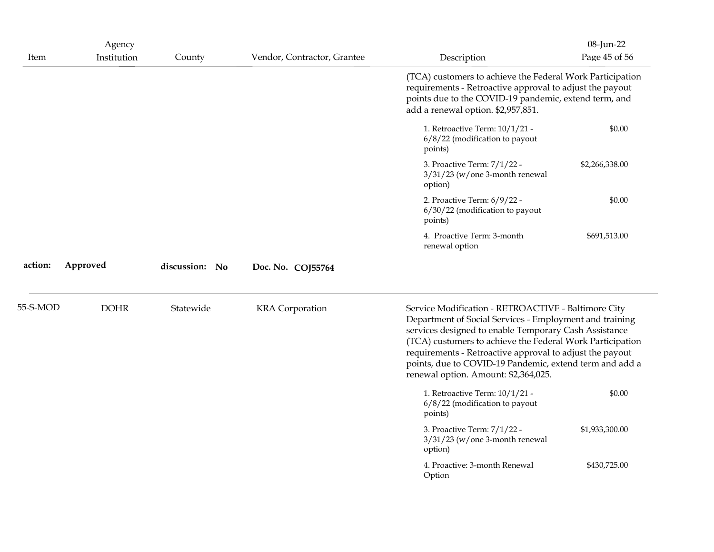| (TCA) customers to achieve the Federal Work Participation<br>requirements - Retroactive approval to adjust the payout<br>points due to the COVID-19 pandemic, extend term, and<br>add a renewal option. \$2,957,851.<br>1. Retroactive Term: 10/1/21 -<br>$6/8/22$ (modification to payout<br>points)<br>3. Proactive Term: 7/1/22 -<br>$3/31/23$ (w/one 3-month renewal<br>option)<br>2. Proactive Term: 6/9/22 -<br>6/30/22 (modification to payout                 | \$0.00<br>\$2,266,338.00 |
|-----------------------------------------------------------------------------------------------------------------------------------------------------------------------------------------------------------------------------------------------------------------------------------------------------------------------------------------------------------------------------------------------------------------------------------------------------------------------|--------------------------|
|                                                                                                                                                                                                                                                                                                                                                                                                                                                                       |                          |
|                                                                                                                                                                                                                                                                                                                                                                                                                                                                       |                          |
|                                                                                                                                                                                                                                                                                                                                                                                                                                                                       |                          |
| points)                                                                                                                                                                                                                                                                                                                                                                                                                                                               | \$0.00                   |
| 4. Proactive Term: 3-month<br>renewal option                                                                                                                                                                                                                                                                                                                                                                                                                          | \$691,513.00             |
| Approved<br>action:<br>discussion: No<br>Doc. No. COJ55764                                                                                                                                                                                                                                                                                                                                                                                                            |                          |
| 55-S-MOD<br><b>DOHR</b><br>Statewide<br><b>KRA</b> Corporation<br>Service Modification - RETROACTIVE - Baltimore City<br>Department of Social Services - Employment and training<br>services designed to enable Temporary Cash Assistance<br>(TCA) customers to achieve the Federal Work Participation<br>requirements - Retroactive approval to adjust the payout<br>points, due to COVID-19 Pandemic, extend term and add a<br>renewal option. Amount: \$2,364,025. |                          |
|                                                                                                                                                                                                                                                                                                                                                                                                                                                                       | \$0.00                   |
| 1. Retroactive Term: 10/1/21 -<br>$6/8/22$ (modification to payout<br>points)                                                                                                                                                                                                                                                                                                                                                                                         |                          |
| 3. Proactive Term: 7/1/22 -<br>$3/31/23$ (w/one 3-month renewal<br>option)                                                                                                                                                                                                                                                                                                                                                                                            | \$1,933,300.00           |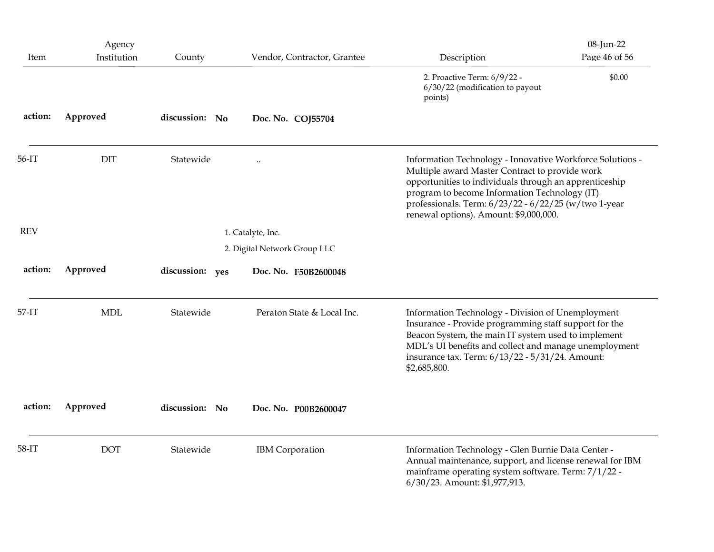| Item       | Agency<br>Institution | County          | Vendor, Contractor, Grantee  | Description                                                                                                                                                                                                                                                                                                              | 08-Jun-22<br>Page 46 of 56 |
|------------|-----------------------|-----------------|------------------------------|--------------------------------------------------------------------------------------------------------------------------------------------------------------------------------------------------------------------------------------------------------------------------------------------------------------------------|----------------------------|
|            |                       |                 |                              | 2. Proactive Term: 6/9/22 -<br>6/30/22 (modification to payout<br>points)                                                                                                                                                                                                                                                | \$0.00                     |
| action:    | Approved              | discussion: No  | Doc. No. COJ55704            |                                                                                                                                                                                                                                                                                                                          |                            |
| $56-IT$    | DIT                   | Statewide       | $\ddotsc$                    | Information Technology - Innovative Workforce Solutions -<br>Multiple award Master Contract to provide work<br>opportunities to individuals through an apprenticeship<br>program to become Information Technology (IT)<br>professionals. Term: 6/23/22 - 6/22/25 (w/two 1-year<br>renewal options). Amount: \$9,000,000. |                            |
| <b>REV</b> |                       |                 | 1. Catalyte, Inc.            |                                                                                                                                                                                                                                                                                                                          |                            |
|            |                       |                 | 2. Digital Network Group LLC |                                                                                                                                                                                                                                                                                                                          |                            |
| action:    | Approved              | discussion: yes | Doc. No. F50B2600048         |                                                                                                                                                                                                                                                                                                                          |                            |
| $57 - IT$  | $\mbox{MDL}$          | Statewide       | Peraton State & Local Inc.   | Information Technology - Division of Unemployment<br>Insurance - Provide programming staff support for the<br>Beacon System, the main IT system used to implement<br>MDL's UI benefits and collect and manage unemployment<br>insurance tax. Term: 6/13/22 - 5/31/24. Amount:<br>\$2,685,800.                            |                            |
| action:    | Approved              | discussion: No  | Doc. No. P00B2600047         |                                                                                                                                                                                                                                                                                                                          |                            |
| $58-IT$    | $\rm{DOT}$            | Statewide       | <b>IBM</b> Corporation       | Information Technology - Glen Burnie Data Center -<br>Annual maintenance, support, and license renewal for IBM<br>mainframe operating system software. Term: 7/1/22 -<br>6/30/23. Amount: \$1,977,913.                                                                                                                   |                            |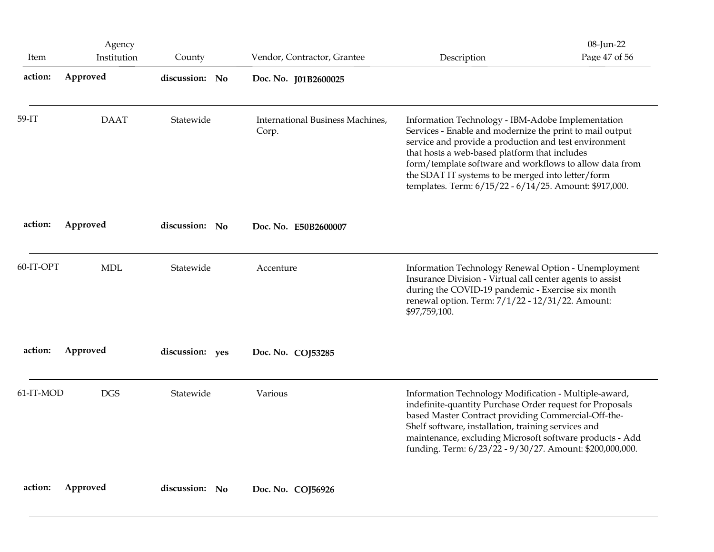| Item      | Agency<br>Institution | County          | Vendor, Contractor, Grantee               | Description                                                                                                                                                                                                                                                                                                                                                                                       | 08-Jun-22<br>Page 47 of 56 |
|-----------|-----------------------|-----------------|-------------------------------------------|---------------------------------------------------------------------------------------------------------------------------------------------------------------------------------------------------------------------------------------------------------------------------------------------------------------------------------------------------------------------------------------------------|----------------------------|
| action:   | Approved              | discussion: No  | Doc. No. J01B2600025                      |                                                                                                                                                                                                                                                                                                                                                                                                   |                            |
| 59-IT     | <b>DAAT</b>           | Statewide       | International Business Machines,<br>Corp. | Information Technology - IBM-Adobe Implementation<br>Services - Enable and modernize the print to mail output<br>service and provide a production and test environment<br>that hosts a web-based platform that includes<br>form/template software and workflows to allow data from<br>the SDAT IT systems to be merged into letter/form<br>templates. Term: 6/15/22 - 6/14/25. Amount: \$917,000. |                            |
| action:   | Approved              | discussion: No  | Doc. No. E50B2600007                      |                                                                                                                                                                                                                                                                                                                                                                                                   |                            |
| 60-IT-OPT | <b>MDL</b>            | Statewide       | Accenture                                 | Information Technology Renewal Option - Unemployment<br>Insurance Division - Virtual call center agents to assist<br>during the COVID-19 pandemic - Exercise six month<br>renewal option. Term: 7/1/22 - 12/31/22. Amount:<br>\$97,759,100.                                                                                                                                                       |                            |
| action:   | Approved              | discussion: yes | Doc. No. COJ53285                         |                                                                                                                                                                                                                                                                                                                                                                                                   |                            |
| 61-IT-MOD | <b>DGS</b>            | Statewide       | Various                                   | Information Technology Modification - Multiple-award,<br>indefinite-quantity Purchase Order request for Proposals<br>based Master Contract providing Commercial-Off-the-<br>Shelf software, installation, training services and<br>maintenance, excluding Microsoft software products - Add<br>funding. Term: 6/23/22 - 9/30/27. Amount: \$200,000,000.                                           |                            |
|           |                       |                 |                                           |                                                                                                                                                                                                                                                                                                                                                                                                   |                            |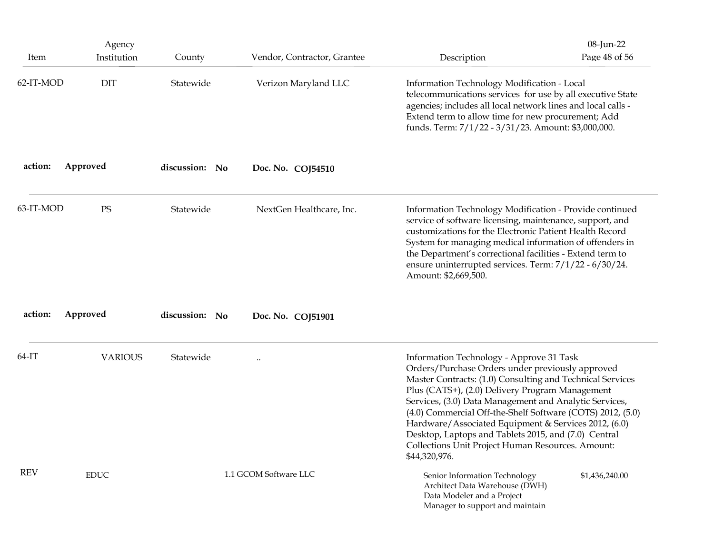| Item       | Agency<br>Institution | County         | Vendor, Contractor, Grantee | Description                                                                                                                                                                                                                                                                                                                                                                                                                                                                                                                | 08-Jun-22<br>Page 48 of 56 |
|------------|-----------------------|----------------|-----------------------------|----------------------------------------------------------------------------------------------------------------------------------------------------------------------------------------------------------------------------------------------------------------------------------------------------------------------------------------------------------------------------------------------------------------------------------------------------------------------------------------------------------------------------|----------------------------|
| 62-IT-MOD  | <b>DIT</b>            | Statewide      | Verizon Maryland LLC        | Information Technology Modification - Local<br>telecommunications services for use by all executive State<br>agencies; includes all local network lines and local calls -<br>Extend term to allow time for new procurement; Add<br>funds. Term: 7/1/22 - 3/31/23. Amount: \$3,000,000.                                                                                                                                                                                                                                     |                            |
| action:    | Approved              | discussion: No | Doc. No. COJ54510           |                                                                                                                                                                                                                                                                                                                                                                                                                                                                                                                            |                            |
| 63-IT-MOD  | PS                    | Statewide      | NextGen Healthcare, Inc.    | Information Technology Modification - Provide continued<br>service of software licensing, maintenance, support, and<br>customizations for the Electronic Patient Health Record<br>System for managing medical information of offenders in<br>the Department's correctional facilities - Extend term to<br>ensure uninterrupted services. Term: 7/1/22 - 6/30/24.<br>Amount: \$2,669,500.                                                                                                                                   |                            |
| action:    | Approved              | discussion: No | Doc. No. COJ51901           |                                                                                                                                                                                                                                                                                                                                                                                                                                                                                                                            |                            |
| $64-IT$    | <b>VARIOUS</b>        | Statewide      | $\ddotsc$                   | Information Technology - Approve 31 Task<br>Orders/Purchase Orders under previously approved<br>Master Contracts: (1.0) Consulting and Technical Services<br>Plus (CATS+), (2.0) Delivery Program Management<br>Services, (3.0) Data Management and Analytic Services,<br>(4.0) Commercial Off-the-Shelf Software (COTS) 2012, (5.0)<br>Hardware/Associated Equipment & Services 2012, (6.0)<br>Desktop, Laptops and Tablets 2015, and (7.0) Central<br>Collections Unit Project Human Resources. Amount:<br>\$44,320,976. |                            |
| <b>REV</b> | <b>EDUC</b>           |                | 1.1 GCOM Software LLC       | Senior Information Technology<br>Architect Data Warehouse (DWH)<br>Data Modeler and a Project<br>Manager to support and maintain                                                                                                                                                                                                                                                                                                                                                                                           | \$1,436,240.00             |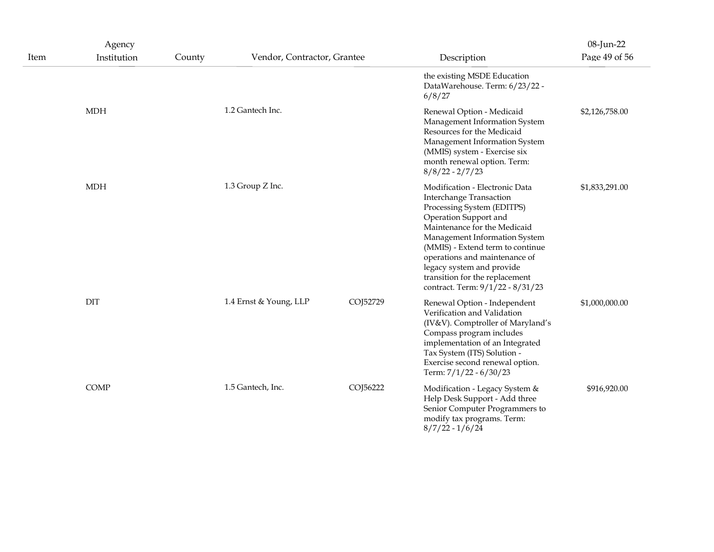|      | Agency      |        |                             |          |                                                                                                                                                                                                                                                                                                                                                                  | 08-Jun-22      |
|------|-------------|--------|-----------------------------|----------|------------------------------------------------------------------------------------------------------------------------------------------------------------------------------------------------------------------------------------------------------------------------------------------------------------------------------------------------------------------|----------------|
| Item | Institution | County | Vendor, Contractor, Grantee |          | Description                                                                                                                                                                                                                                                                                                                                                      | Page 49 of 56  |
|      |             |        |                             |          | the existing MSDE Education<br>DataWarehouse. Term: 6/23/22 -<br>6/8/27                                                                                                                                                                                                                                                                                          |                |
|      | <b>MDH</b>  |        | 1.2 Gantech Inc.            |          | Renewal Option - Medicaid<br>Management Information System<br>Resources for the Medicaid<br>Management Information System<br>(MMIS) system - Exercise six<br>month renewal option. Term:<br>$8/8/22 - 2/7/23$                                                                                                                                                    | \$2,126,758.00 |
|      | MDH         |        | 1.3 Group Z Inc.            |          | Modification - Electronic Data<br><b>Interchange Transaction</b><br>Processing System (EDITPS)<br>Operation Support and<br>Maintenance for the Medicaid<br>Management Information System<br>(MMIS) - Extend term to continue<br>operations and maintenance of<br>legacy system and provide<br>transition for the replacement<br>contract. Term: 9/1/22 - 8/31/23 | \$1,833,291.00 |
|      | DIT         |        | 1.4 Ernst & Young, LLP      | COJ52729 | Renewal Option - Independent<br>Verification and Validation<br>(IV&V). Comptroller of Maryland's<br>Compass program includes<br>implementation of an Integrated<br>Tax System (ITS) Solution -<br>Exercise second renewal option.<br>Term: 7/1/22 - 6/30/23                                                                                                      | \$1,000,000.00 |
|      | COMP        |        | 1.5 Gantech, Inc.           | COJ56222 | Modification - Legacy System &<br>Help Desk Support - Add three<br>Senior Computer Programmers to<br>modify tax programs. Term:<br>$8/7/22 - 1/6/24$                                                                                                                                                                                                             | \$916,920.00   |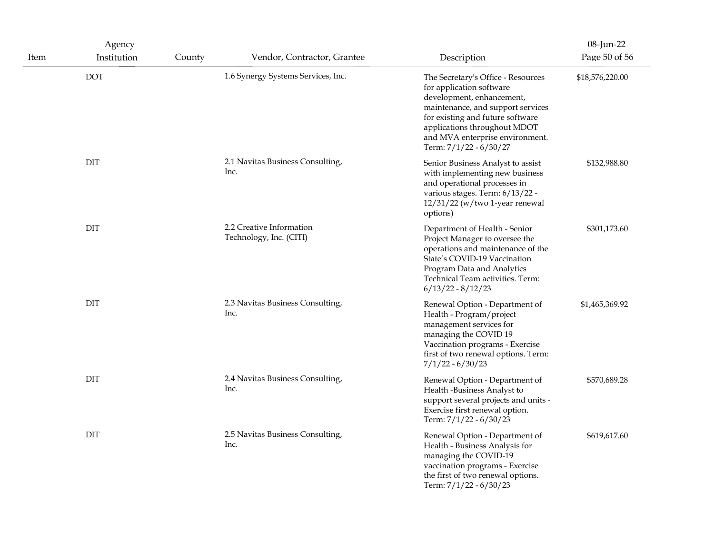| Item | Agency<br>Institution | County | Vendor, Contractor, Grantee                         | Description                                                                                                                                                                                                                                                       | 08-Jun-22<br>Page 50 of 56 |
|------|-----------------------|--------|-----------------------------------------------------|-------------------------------------------------------------------------------------------------------------------------------------------------------------------------------------------------------------------------------------------------------------------|----------------------------|
|      | <b>DOT</b>            |        | 1.6 Synergy Systems Services, Inc.                  | The Secretary's Office - Resources<br>for application software<br>development, enhancement,<br>maintenance, and support services<br>for existing and future software<br>applications throughout MDOT<br>and MVA enterprise environment.<br>Term: 7/1/22 - 6/30/27 | \$18,576,220.00            |
|      | DIT                   |        | 2.1 Navitas Business Consulting,<br>Inc.            | Senior Business Analyst to assist<br>with implementing new business<br>and operational processes in<br>various stages. Term: 6/13/22 -<br>$12/31/22$ (w/two 1-year renewal<br>options)                                                                            | \$132,988.80               |
|      | DIT                   |        | 2.2 Creative Information<br>Technology, Inc. (CITI) | Department of Health - Senior<br>Project Manager to oversee the<br>operations and maintenance of the<br>State's COVID-19 Vaccination<br>Program Data and Analytics<br>Technical Team activities. Term:<br>$6/13/22 - 8/12/23$                                     | \$301,173.60               |
|      | DIT                   |        | 2.3 Navitas Business Consulting,<br>Inc.            | Renewal Option - Department of<br>Health - Program/project<br>management services for<br>managing the COVID 19<br>Vaccination programs - Exercise<br>first of two renewal options. Term:<br>$7/1/22 - 6/30/23$                                                    | \$1,465,369.92             |
|      | $\rm{DIT}$            |        | 2.4 Navitas Business Consulting,<br>Inc.            | Renewal Option - Department of<br>Health -Business Analyst to<br>support several projects and units -<br>Exercise first renewal option.<br>Term: 7/1/22 - 6/30/23                                                                                                 | \$570,689.28               |
|      | DIT                   |        | 2.5 Navitas Business Consulting,<br>Inc.            | Renewal Option - Department of<br>Health - Business Analysis for<br>managing the COVID-19<br>vaccination programs - Exercise<br>the first of two renewal options.<br>Term: 7/1/22 - 6/30/23                                                                       | \$619,617.60               |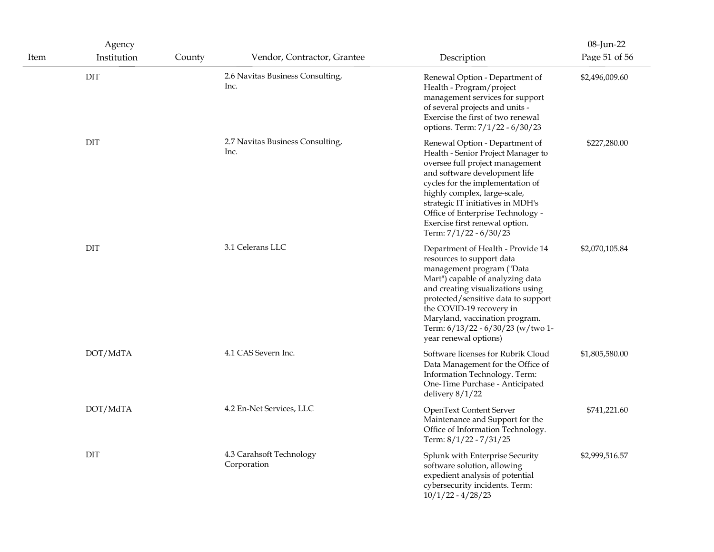| Item | Agency<br>Institution | County | Vendor, Contractor, Grantee              | Description                                                                                                                                                                                                                                                                                                                                        | 08-Jun-22<br>Page 51 of 56 |
|------|-----------------------|--------|------------------------------------------|----------------------------------------------------------------------------------------------------------------------------------------------------------------------------------------------------------------------------------------------------------------------------------------------------------------------------------------------------|----------------------------|
|      | DIT                   |        | 2.6 Navitas Business Consulting,<br>Inc. | Renewal Option - Department of<br>Health - Program/project<br>management services for support<br>of several projects and units -<br>Exercise the first of two renewal<br>options. Term: 7/1/22 - 6/30/23                                                                                                                                           | \$2,496,009.60             |
|      | DIT                   |        | 2.7 Navitas Business Consulting,<br>Inc. | Renewal Option - Department of<br>Health - Senior Project Manager to<br>oversee full project management<br>and software development life<br>cycles for the implementation of<br>highly complex, large-scale,<br>strategic IT initiatives in MDH's<br>Office of Enterprise Technology -<br>Exercise first renewal option.<br>Term: 7/1/22 - 6/30/23 | \$227,280.00               |
|      | DIT                   |        | 3.1 Celerans LLC                         | Department of Health - Provide 14<br>resources to support data<br>management program ("Data<br>Mart") capable of analyzing data<br>and creating visualizations using<br>protected/sensitive data to support<br>the COVID-19 recovery in<br>Maryland, vaccination program.<br>Term: 6/13/22 - 6/30/23 (w/two 1-<br>year renewal options)            | \$2,070,105.84             |
|      | DOT/MdTA              |        | 4.1 CAS Severn Inc.                      | Software licenses for Rubrik Cloud<br>Data Management for the Office of<br>Information Technology. Term:<br>One-Time Purchase - Anticipated<br>delivery $8/1/22$                                                                                                                                                                                   | \$1,805,580.00             |
|      | DOT/MdTA              |        | 4.2 En-Net Services, LLC                 | <b>OpenText Content Server</b><br>Maintenance and Support for the<br>Office of Information Technology.<br>Term: 8/1/22 - 7/31/25                                                                                                                                                                                                                   | \$741,221.60               |
|      | DIT                   |        | 4.3 Carahsoft Technology<br>Corporation  | Splunk with Enterprise Security<br>software solution, allowing<br>expedient analysis of potential<br>cybersecurity incidents. Term:<br>$10/1/22 - 4/28/23$                                                                                                                                                                                         | \$2,999,516.57             |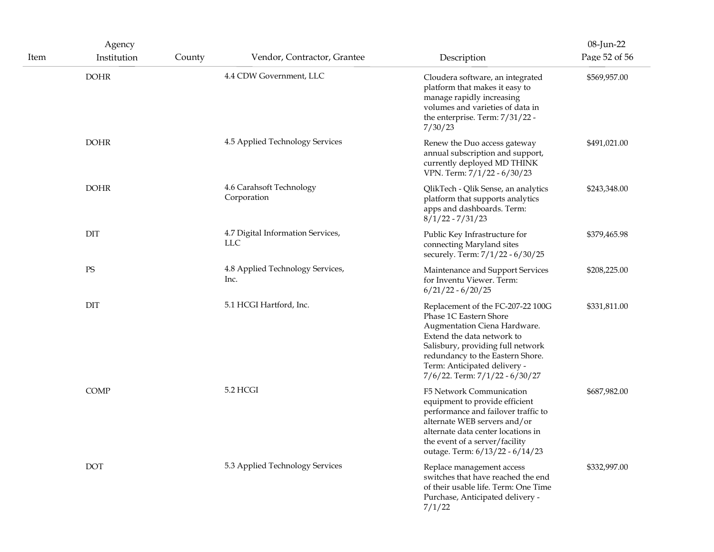| Item | Agency<br>Institution  | County | Vendor, Contractor, Grantee              | Description                                                                                                                                                                                                                                                          | 08-Jun-22<br>Page 52 of 56 |
|------|------------------------|--------|------------------------------------------|----------------------------------------------------------------------------------------------------------------------------------------------------------------------------------------------------------------------------------------------------------------------|----------------------------|
|      | <b>DOHR</b>            |        | 4.4 CDW Government, LLC                  | Cloudera software, an integrated<br>platform that makes it easy to<br>manage rapidly increasing<br>volumes and varieties of data in<br>the enterprise. Term: 7/31/22 -<br>7/30/23                                                                                    | \$569,957.00               |
|      | <b>DOHR</b>            |        | 4.5 Applied Technology Services          | Renew the Duo access gateway<br>annual subscription and support,<br>currently deployed MD THINK<br>VPN. Term: 7/1/22 - 6/30/23                                                                                                                                       | \$491,021.00               |
|      | <b>DOHR</b>            |        | 4.6 Carahsoft Technology<br>Corporation  | QlikTech - Qlik Sense, an analytics<br>platform that supports analytics<br>apps and dashboards. Term:<br>$8/1/22 - 7/31/23$                                                                                                                                          | \$243,348.00               |
|      | <b>DIT</b>             |        | 4.7 Digital Information Services,<br>LLC | Public Key Infrastructure for<br>connecting Maryland sites<br>securely. Term: 7/1/22 - 6/30/25                                                                                                                                                                       | \$379,465.98               |
|      | $\mathop{\mathrm{PS}}$ |        | 4.8 Applied Technology Services,<br>Inc. | Maintenance and Support Services<br>for Inventu Viewer. Term:<br>$6/21/22 - 6/20/25$                                                                                                                                                                                 | \$208,225.00               |
|      | $\rm{DIT}$             |        | 5.1 HCGI Hartford, Inc.                  | Replacement of the FC-207-22 100G<br>Phase 1C Eastern Shore<br>Augmentation Ciena Hardware.<br>Extend the data network to<br>Salisbury, providing full network<br>redundancy to the Eastern Shore.<br>Term: Anticipated delivery -<br>7/6/22. Term: 7/1/22 - 6/30/27 | \$331,811.00               |
|      | <b>COMP</b>            |        | 5.2 HCGI                                 | F5 Network Communication<br>equipment to provide efficient<br>performance and failover traffic to<br>alternate WEB servers and/or<br>alternate data center locations in<br>the event of a server/facility<br>outage. Term: 6/13/22 - 6/14/23                         | \$687,982.00               |
|      | <b>DOT</b>             |        | 5.3 Applied Technology Services          | Replace management access<br>switches that have reached the end<br>of their usable life. Term: One Time<br>Purchase, Anticipated delivery -<br>7/1/22                                                                                                                | \$332,997.00               |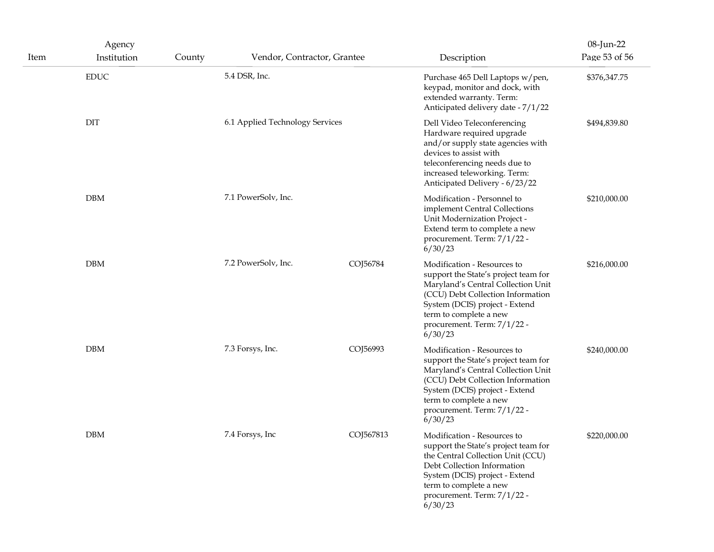| Item | Agency<br>Institution        | County | Vendor, Contractor, Grantee     |           | Description                                                                                                                                                                                                                                          | 08-Jun-22<br>Page 53 of 56 |
|------|------------------------------|--------|---------------------------------|-----------|------------------------------------------------------------------------------------------------------------------------------------------------------------------------------------------------------------------------------------------------------|----------------------------|
|      | $\mathop{\rm EDUC}\nolimits$ |        | 5.4 DSR, Inc.                   |           | Purchase 465 Dell Laptops w/pen,<br>keypad, monitor and dock, with<br>extended warranty. Term:<br>Anticipated delivery date - 7/1/22                                                                                                                 | \$376,347.75               |
|      | DIT                          |        | 6.1 Applied Technology Services |           | Dell Video Teleconferencing<br>Hardware required upgrade<br>and/or supply state agencies with<br>devices to assist with<br>teleconferencing needs due to<br>increased teleworking. Term:<br>Anticipated Delivery - 6/23/22                           | \$494,839.80               |
|      | <b>DBM</b>                   |        | 7.1 PowerSolv, Inc.             |           | Modification - Personnel to<br>implement Central Collections<br>Unit Modernization Project -<br>Extend term to complete a new<br>procurement. Term: 7/1/22 -<br>6/30/23                                                                              | \$210,000.00               |
|      | <b>DBM</b>                   |        | 7.2 PowerSolv, Inc.             | COJ56784  | Modification - Resources to<br>support the State's project team for<br>Maryland's Central Collection Unit<br>(CCU) Debt Collection Information<br>System (DCIS) project - Extend<br>term to complete a new<br>procurement. Term: 7/1/22 -<br>6/30/23 | \$216,000.00               |
|      | <b>DBM</b>                   |        | 7.3 Forsys, Inc.                | COJ56993  | Modification - Resources to<br>support the State's project team for<br>Maryland's Central Collection Unit<br>(CCU) Debt Collection Information<br>System (DCIS) project - Extend<br>term to complete a new<br>procurement. Term: 7/1/22 -<br>6/30/23 | \$240,000.00               |
|      | <b>DBM</b>                   |        | 7.4 Forsys, Inc                 | COJ567813 | Modification - Resources to<br>support the State's project team for<br>the Central Collection Unit (CCU)<br>Debt Collection Information<br>System (DCIS) project - Extend<br>term to complete a new<br>procurement. Term: 7/1/22 -<br>6/30/23        | \$220,000.00               |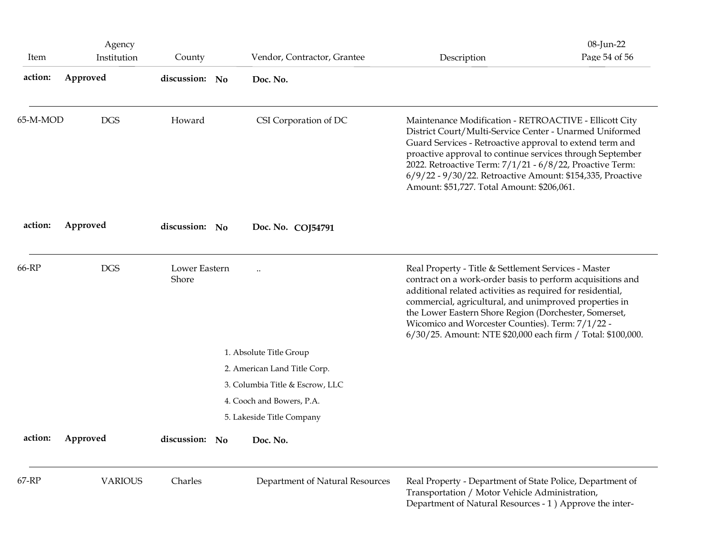| Item     | Agency<br>Institution | County                 |           | Vendor, Contractor, Grantee     | Description                                                                                                                                                                                                                                                                                                                                                                                                            | 08-Jun-22<br>Page 54 of 56 |
|----------|-----------------------|------------------------|-----------|---------------------------------|------------------------------------------------------------------------------------------------------------------------------------------------------------------------------------------------------------------------------------------------------------------------------------------------------------------------------------------------------------------------------------------------------------------------|----------------------------|
| action:  | Approved              | discussion: No         |           | Doc. No.                        |                                                                                                                                                                                                                                                                                                                                                                                                                        |                            |
| 65-M-MOD | <b>DGS</b>            | Howard                 |           | CSI Corporation of DC           | Maintenance Modification - RETROACTIVE - Ellicott City<br>District Court/Multi-Service Center - Unarmed Uniformed<br>Guard Services - Retroactive approval to extend term and<br>proactive approval to continue services through September<br>2022. Retroactive Term: 7/1/21 - 6/8/22, Proactive Term:<br>6/9/22 - 9/30/22. Retroactive Amount: \$154,335, Proactive<br>Amount: \$51,727. Total Amount: \$206,061.     |                            |
| action:  | Approved              | discussion: No         |           | Doc. No. COJ54791               |                                                                                                                                                                                                                                                                                                                                                                                                                        |                            |
| 66-RP    | <b>DGS</b>            | Lower Eastern<br>Shore | $\ddotsc$ |                                 | Real Property - Title & Settlement Services - Master<br>contract on a work-order basis to perform acquisitions and<br>additional related activities as required for residential,<br>commercial, agricultural, and unimproved properties in<br>the Lower Eastern Shore Region (Dorchester, Somerset,<br>Wicomico and Worcester Counties). Term: 7/1/22 -<br>6/30/25. Amount: NTE \$20,000 each firm / Total: \$100,000. |                            |
|          |                       |                        |           | 1. Absolute Title Group         |                                                                                                                                                                                                                                                                                                                                                                                                                        |                            |
|          |                       |                        |           | 2. American Land Title Corp.    |                                                                                                                                                                                                                                                                                                                                                                                                                        |                            |
|          |                       |                        |           | 3. Columbia Title & Escrow, LLC |                                                                                                                                                                                                                                                                                                                                                                                                                        |                            |
|          |                       |                        |           | 4. Cooch and Bowers, P.A.       |                                                                                                                                                                                                                                                                                                                                                                                                                        |                            |
|          |                       |                        |           | 5. Lakeside Title Company       |                                                                                                                                                                                                                                                                                                                                                                                                                        |                            |
| action:  | Approved              | discussion: No         |           | Doc. No.                        |                                                                                                                                                                                                                                                                                                                                                                                                                        |                            |
| 67-RP    | <b>VARIOUS</b>        | Charles                |           | Department of Natural Resources | Real Property - Department of State Police, Department of<br>Transportation / Motor Vehicle Administration,<br>Department of Natural Resources - 1 ) Approve the inter-                                                                                                                                                                                                                                                |                            |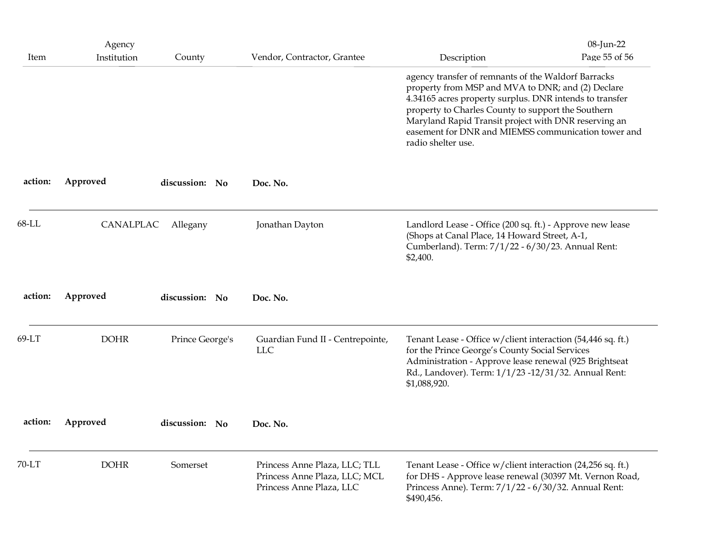| Item     | Agency<br>Institution | County          | Vendor, Contractor, Grantee                    | Description                                                                                                                                                                                                                                                                                                                                                    | 08-Jun-22<br>Page 55 of 56 |
|----------|-----------------------|-----------------|------------------------------------------------|----------------------------------------------------------------------------------------------------------------------------------------------------------------------------------------------------------------------------------------------------------------------------------------------------------------------------------------------------------------|----------------------------|
|          |                       |                 |                                                | agency transfer of remnants of the Waldorf Barracks<br>property from MSP and MVA to DNR; and (2) Declare<br>4.34165 acres property surplus. DNR intends to transfer<br>property to Charles County to support the Southern<br>Maryland Rapid Transit project with DNR reserving an<br>easement for DNR and MIEMSS communication tower and<br>radio shelter use. |                            |
| action:  | Approved              | discussion: No  | Doc. No.                                       |                                                                                                                                                                                                                                                                                                                                                                |                            |
| $68$ -LL | CANALPLAC             | Allegany        | Jonathan Dayton                                | Landlord Lease - Office (200 sq. ft.) - Approve new lease<br>(Shops at Canal Place, 14 Howard Street, A-1,<br>Cumberland). Term: 7/1/22 - 6/30/23. Annual Rent:<br>\$2,400.                                                                                                                                                                                    |                            |
| action:  | Approved              | discussion: No  | Doc. No.                                       |                                                                                                                                                                                                                                                                                                                                                                |                            |
| 69-LT    | <b>DOHR</b>           | Prince George's | Guardian Fund II - Centrepointe,<br><b>LLC</b> | Tenant Lease - Office w/client interaction (54,446 sq. ft.)<br>for the Prince George's County Social Services<br>Administration - Approve lease renewal (925 Brightseat<br>Rd., Landover). Term: 1/1/23 -12/31/32. Annual Rent:<br>\$1,088,920.                                                                                                                |                            |
|          |                       |                 |                                                |                                                                                                                                                                                                                                                                                                                                                                |                            |
| action:  | Approved              | discussion: No  | Doc. No.                                       |                                                                                                                                                                                                                                                                                                                                                                |                            |